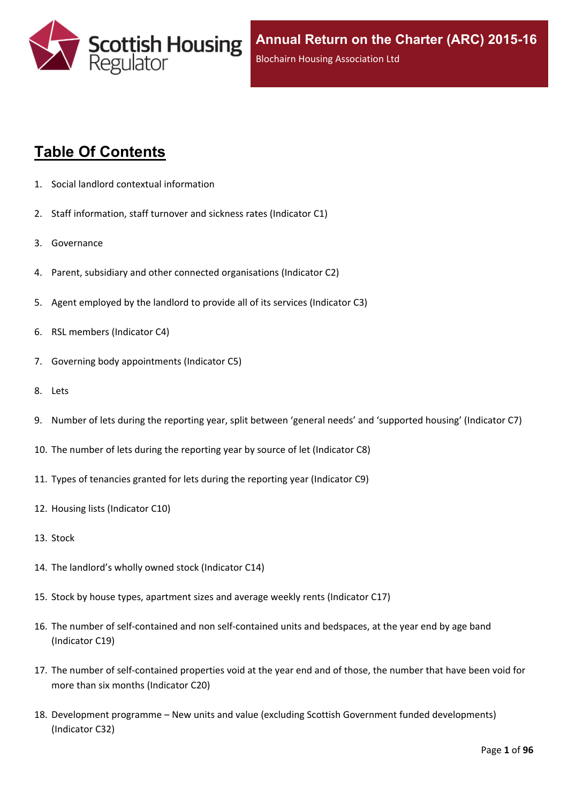

# **Table Of Contents**

- 1. Social landlord contextual [information](#page-5-0)
- 2. Staff [information,](#page-6-0) staff turnover and sickness rates (Indicator C1)
- 3. [Governance](#page-8-0)
- 4. Parent, subsidiary and other connected [organisations](#page-9-0) (Indicator C2)
- 5. Agent [employed](#page-10-0) by the landlord to provide all of its services (Indicator C3)
- 6. RSL members [\(Indicator](#page-11-0) C4)
- 7. Governing body [appointments](#page-12-0) (Indicator C5)
- 8. [Lets](#page-13-0)
- 9. Number of lets during the reporting year, split between 'general needs' and ['supported](#page-14-0) housing' (Indicator C7)
- 10. The number of lets during the reporting year by source of let [\(Indicator](#page-15-0) C8)
- 11. Types of tenancies granted for lets during the reporting year [\(Indicator](#page-16-0) C9)
- 12. Housing lists [\(Indicator](#page-17-0) C10)
- 13. [Stock](#page-18-0)
- 14. The [landlord's](#page-19-0) wholly owned stock (Indicator C14)
- 15. Stock by house types, [apartment](#page-20-0) sizes and average weekly rents (Indicator C17)
- 16. The number of self-contained and non [self-contained](#page-21-0) units and bedspaces, at the year end by age band [\(Indicator](#page-21-0) C19)
- 17. The number of [self-contained](#page-22-0) properties void at the year end and of those, the number that have been void for more than six months [\(Indicator](#page-22-0) C20)
- 18. [Development](#page-23-0) programme [–](#page-23-0) New units and value (excluding Scottish Government funded [developments\)](#page-23-0) [\(Indicator](#page-23-0) C32)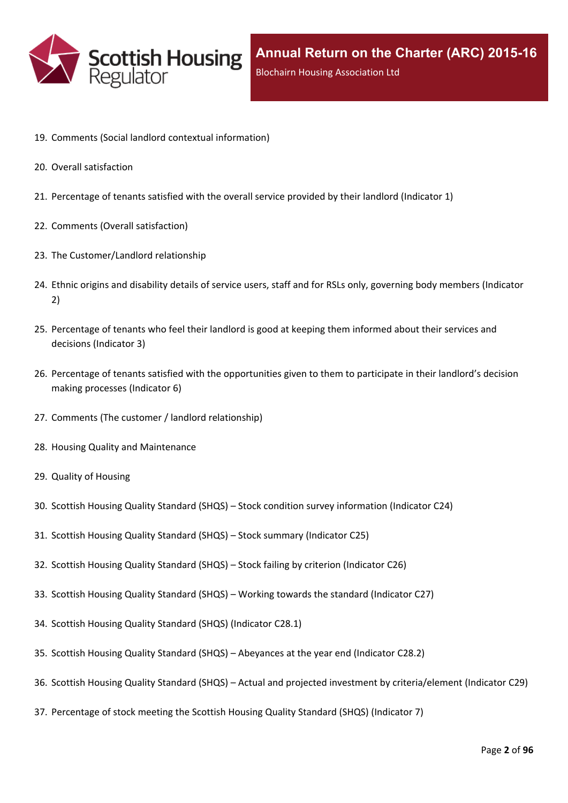

- 19. Comments (Social landlord contextual [information\)](#page-25-0)
- 20. Overall [satisfaction](#page-26-0)
- 21. [Percentage](#page-27-0) of tenants satisfied with the overall service provided by their landlord (Indicator 1)
- 22. Comments (Overall [satisfaction\)](#page-29-0)
- 23. The [Customer/Landlord](#page-30-0) relationship
- 24. Ethnic origins and disability details of service users, staff and for RSLs only, [governing](#page-31-0) body members (Indicator [2\)](#page-31-0)
- 25. [Percentage](#page-33-0) of tenants who feel their landlord is good at keeping them informed about their services and [decisions](#page-33-0) [\(Indicator](#page-33-0) 3)
- 26. Percentage of tenants satisfied with the [opportunities](#page-34-0) given to them to participate in their landlord's decision making [processes](#page-34-0) (Indicator 6)
- 27. Comments (The customer / landlord [relationship\)](#page-35-0)
- 28. Housing Quality and [Maintenance](#page-36-0)
- 29. Quality of [Housing](#page-37-0)
- 30. Scottish Housing Quality [Standard](#page-38-0) (SHQS) [–](#page-38-0) Stock condition survey [information](#page-38-0) (Indicator C24)
- 31. Scottish Housing Quality [Standard](#page-39-0) (SHQS) [–](#page-39-0) Stock summary [\(Indicator](#page-39-0) C25)
- 32. Scottish Housing Quality [Standard](#page-41-0) (SHQS) [–](#page-41-0) Stock failing by criterion [\(Indicator](#page-41-0) C26)
- 33. Scottish Housing Quality [Standard](#page-42-0) (SHQS) [–](#page-42-0) Working towards the standard [\(Indicator](#page-42-0) C27)
- 34. Scottish Housing Quality Standard (SHQS) [\(Indicator](#page-43-0) C28.1)
- 35. Scottish Housing Quality [Standard](#page-44-0) (SHQS) [–](#page-44-0) [Abeyances](#page-44-0) at the year end (Indicator C28.2)
- 36. Scottish Housing Quality [Standard](#page-45-0) (SHQS) [–](#page-45-0) Actual and projected investment by [criteria/element](#page-45-0) (Indicator C29)
- 37. [Percentage](#page-46-0) of stock meeting the Scottish Housing Quality Standard (SHQS) (Indicator 7)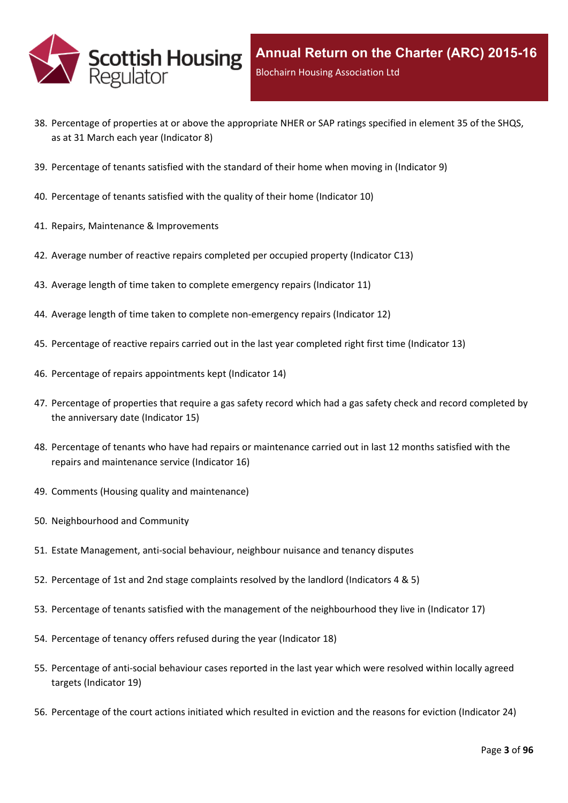

- 38. Percentage of properties at or above the [appropriate](#page-47-0) NHER or SAP ratings specified in element 35 of the SHQS, as at 31 March each year [\(Indicator](#page-47-0) 8)
- 39. [Percentage](#page-48-0) of tenants satisfied with the standard of their home when moving in (Indicator 9)
- 40. [Percentage](#page-49-0) of tenants satisfied with the quality of their home (Indicator 10)
- 41. Repairs, Maintenance & [Improvements](#page-50-0)
- 42. Average number of reactive repairs [completed](#page-51-0) per occupied property (Indicator C13)
- 43. Average length of time taken to complete [emergency](#page-52-0) repairs (Indicator 11)
- 44. Average length of time taken to complete [non-emergency](#page-53-0) repairs (Indicator 12)
- 45. [Percentage](#page-54-0) of reactive repairs carried out in the last year completed right first time (Indicator 13)
- 46. Percentage of repairs [appointments](#page-55-0) kept (Indicator 14)
- 47. [Percentage](#page-56-0) of properties that require a gas safety record which had a gas safety check and record completed by the [anniversary](#page-56-0) date (Indicator 15)
- 48. Percentage of tenants who have had repairs or [maintenance](#page-57-0) carried out in last 12 months satisfied with the repairs and [maintenance](#page-57-0) service (Indicator 16)
- 49. Comments (Housing quality and [maintenance\)](#page-58-0)
- 50. [Neighbourhood](#page-59-0) and Community
- 51. Estate [Management,](#page-60-0) anti-social behaviour, neighbour nuisance and tenancy disputes
- 52. [Percentage](#page-61-0) of 1st and 2nd stage complaints resolved by the landlord (Indicators 4 & 5)
- 53. Percentage of tenants satisfied with the management of the [neighbourhood](#page-64-0) they live in (Indicator 17)
- 54. [Percentage](#page-65-0) of tenancy offers refused during the year (Indicator 18)
- 55. [Percentage](#page-66-0) of anti-social behaviour cases reported in the last year which were resolved within locally agreed targets [\(Indicator](#page-66-0) 19)
- 56. [Percentage](#page-67-0) of the court actions initiated which resulted in eviction and the reasons for eviction (Indicator 24)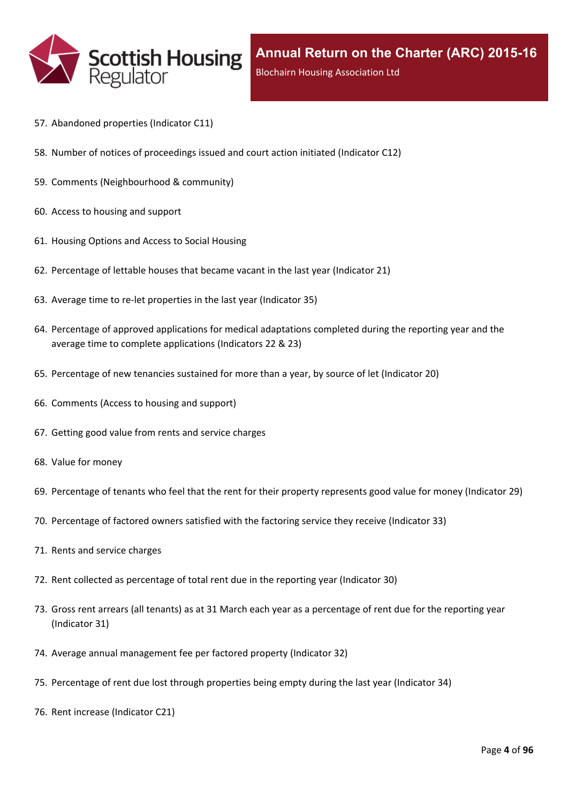

- 57. [Abandoned](#page-68-0) properties (Indicator C11)
- 58. Number of notices of [proceedings](#page-69-0) issued and court action initiated (Indicator C12)
- 59. Comments [\(Neighbourhood](#page-70-0) & community)
- 60. Access to [housing](#page-71-0) and support
- 61. [Housing](#page-72-0) Options and Access to Social Housing
- 62. [Percentage](#page-73-0) of lettable houses that became vacant in the last year (Indicator 21)
- 63. Average time to re-let [properties](#page-74-0) in the last year (Indicator 35)
- 64. Percentage of approved [applications](#page-75-0) for medical adaptations completed during the reporting year and the average time to complete [applications](#page-75-0) (Indicators 22 & 23)
- 65. [Percentage](#page-76-0) of new tenancies sustained for more than a year, by source of let (Indicator 20)
- 66. [Comments](#page-78-0) (Access to housing and support)
- 67. Getting good value from rents and service [charges](#page-79-0)
- 68. Value for [money](#page-80-0)
- 69. [Percentage](#page-81-0) of tenants who feel that the rent for their property represents good value for money (Indicator 29)
- 70. [Percentage](#page-82-0) of factored owners satisfied with the factoring service they receive (Indicator 33)
- 71. Rents and service [charges](#page-83-0)
- 72. Rent collected as [percentage](#page-84-0) of total rent due in the reporting year (Indicator 30)
- 73. Gross rent arrears (all tenants) as at 31 March each year as a [percentage](#page-85-0) of rent due for the reporting year [\(Indicator](#page-85-0) 31)
- 74. Average annual [management](#page-86-0) fee per factored property (Indicator 32)
- 75. [Percentage](#page-87-0) of rent due lost through properties being empty during the last year (Indicator 34)
- 76. Rent increase [\(Indicator](#page-88-0) C21)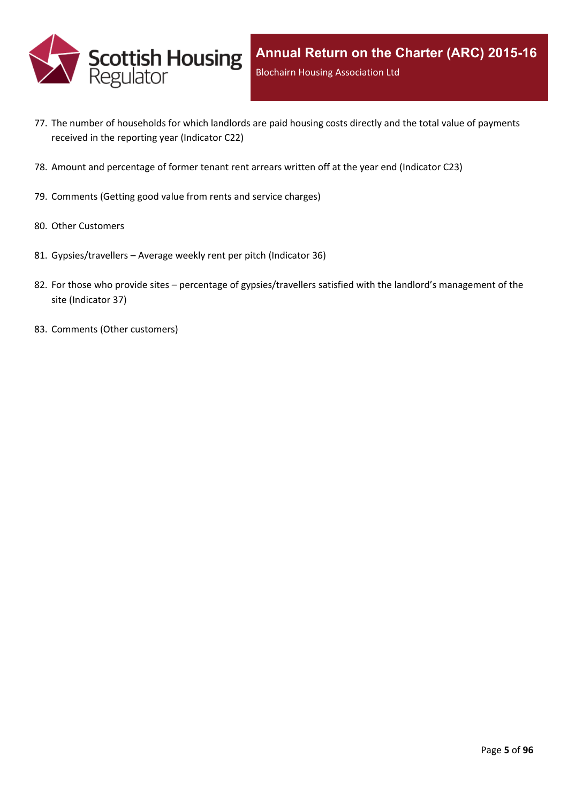

- 77. The number of [households](#page-89-0) for which landlords are paid housing costs directly and the total value of payments received in the reporting year [\(Indicator](#page-89-0) C22)
- 78. Amount and [percentage](#page-90-0) of former tenant rent arrears written off at the year end (Indicator C23)
- 79. [Comments](#page-91-0) (Getting good value from rents and service charges)
- 80. Other [Customers](#page-92-0)
- 81. [Gypsies/travellers](#page-93-0) [–](#page-93-0) Average weekly rent per pitch [\(Indicator](#page-93-0) 36)
- 82. For those who [provide](#page-94-0) sites [–](#page-94-0) percentage of [gypsies/travellers](#page-94-0) satisfied with the landlord's management of the site [\(Indicator](#page-94-0) 37)
- 83. Comments (Other [customers\)](#page-95-0)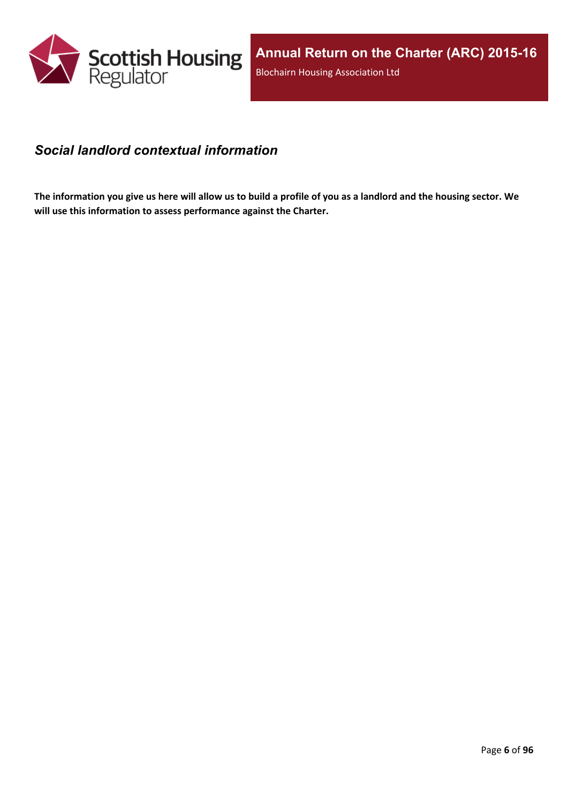

#### <span id="page-5-0"></span>*Social landlord contextual information*

The information you give us here will allow us to build a profile of you as a landlord and the housing sector. We **will use this information to assess performance against the Charter.**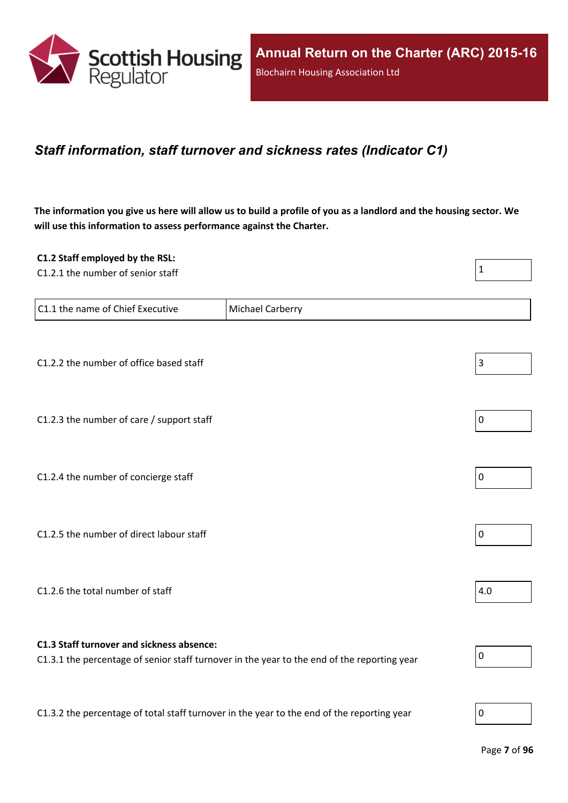

### <span id="page-6-0"></span>*Staff information, staff turnover and sickness rates (Indicator C1)*

The information you give us here will allow us to build a profile of you as a landlord and the housing sector. We **will use this information to assess performance against the Charter.**

| C1.2 Staff employed by the RSL:                                                            |                                                                                             |                |
|--------------------------------------------------------------------------------------------|---------------------------------------------------------------------------------------------|----------------|
| C1.2.1 the number of senior staff                                                          |                                                                                             | $\mathbf 1$    |
|                                                                                            |                                                                                             |                |
| C1.1 the name of Chief Executive                                                           | Michael Carberry                                                                            |                |
|                                                                                            |                                                                                             |                |
|                                                                                            |                                                                                             |                |
| C1.2.2 the number of office based staff                                                    |                                                                                             | $\mathsf 3$    |
|                                                                                            |                                                                                             |                |
| C1.2.3 the number of care / support staff                                                  |                                                                                             | 0              |
|                                                                                            |                                                                                             |                |
|                                                                                            |                                                                                             |                |
| C1.2.4 the number of concierge staff                                                       |                                                                                             | $\overline{0}$ |
|                                                                                            |                                                                                             |                |
| C1.2.5 the number of direct labour staff                                                   |                                                                                             | 0              |
|                                                                                            |                                                                                             |                |
|                                                                                            |                                                                                             |                |
| C1.2.6 the total number of staff                                                           |                                                                                             | 4.0            |
|                                                                                            |                                                                                             |                |
|                                                                                            |                                                                                             |                |
| C1.3 Staff turnover and sickness absence:                                                  | C1.3.1 the percentage of senior staff turnover in the year to the end of the reporting year | 0              |
|                                                                                            |                                                                                             |                |
|                                                                                            |                                                                                             |                |
| C1.3.2 the percentage of total staff turnover in the year to the end of the reporting year |                                                                                             | $\overline{0}$ |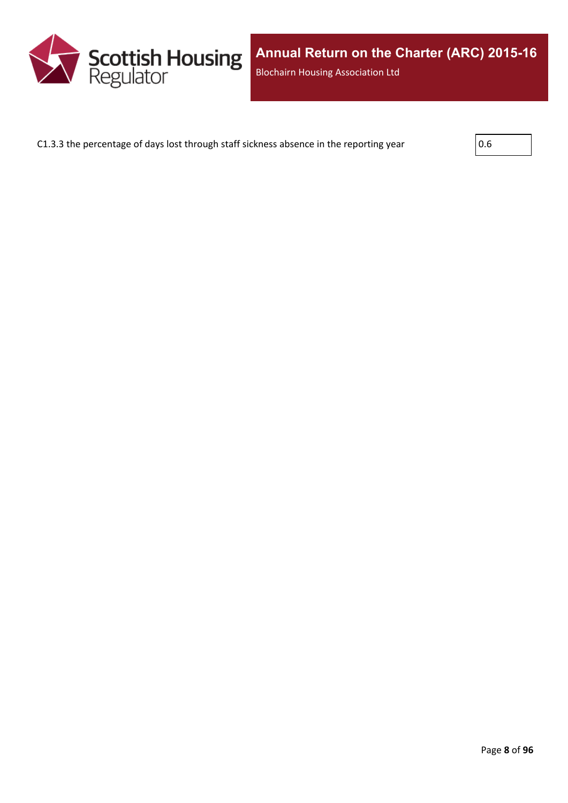

C1.3.3 the percentage of days lost through staff sickness absence in the reporting year  $\vert$  0.6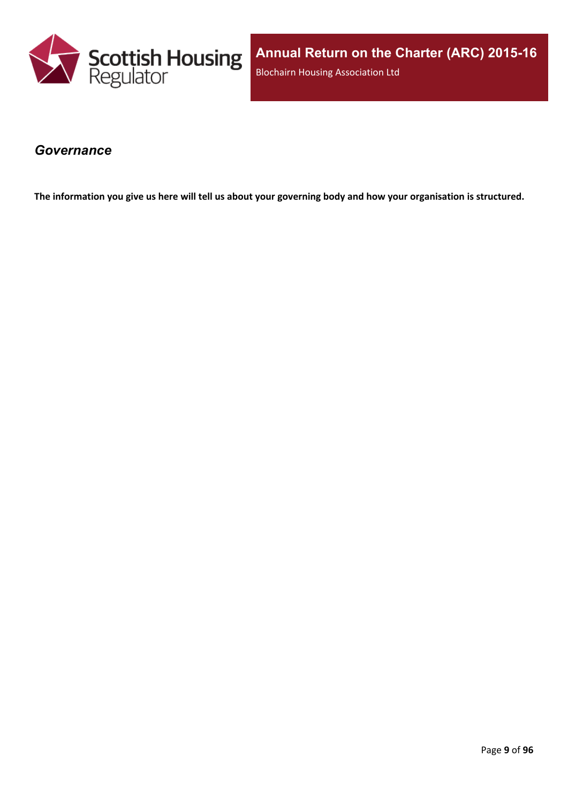

**Annual Return on the Charter (ARC) 2015-16** Blochairn Housing Association Ltd

#### <span id="page-8-0"></span>*Governance*

The information you give us here will tell us about your governing body and how your organisation is structured.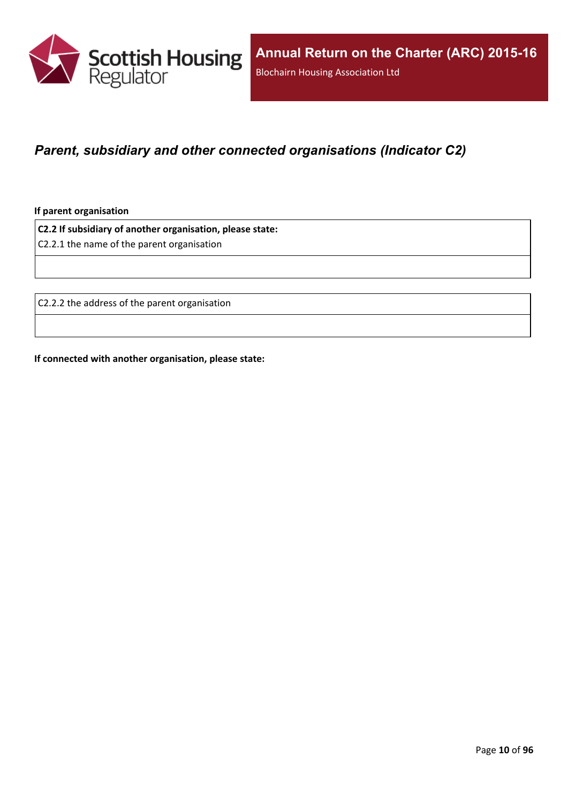

### <span id="page-9-0"></span>*Parent, subsidiary and other connected organisations (Indicator C2)*

**If parent organisation**

**C2.2 If subsidiary of another organisation, please state:**

C2.2.1 the name of the parent organisation

C2.2.2 the address of the parent organisation

**If connected with another organisation, please state:**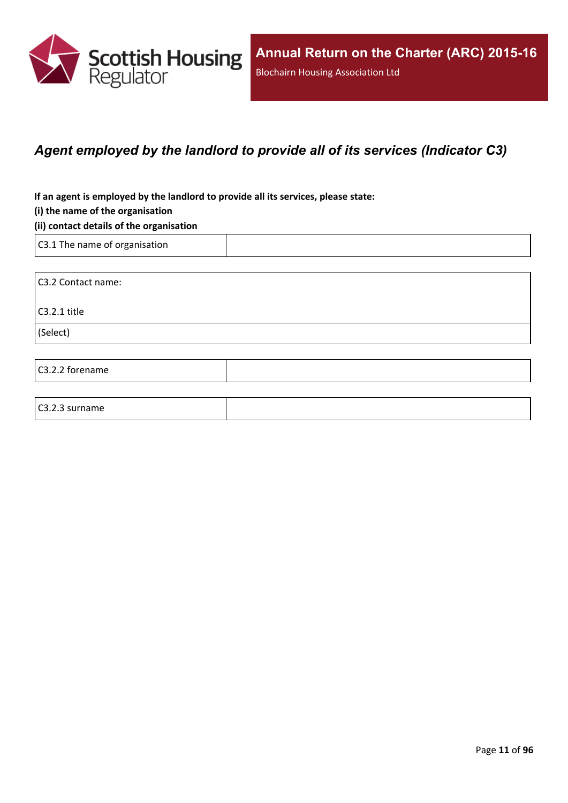

### <span id="page-10-0"></span>*Agent employed by the landlord to provide all of its services (Indicator C3)*

**If an agent is employed by the landlord to provide all its services, please state:**

#### **(i) the name of the organisation**

#### **(ii) contact details of the organisation**

C3.1 The name of organisation

C3.2.3 surname

C3.2 Contact name: C3.2.1 title (Select) C3.2.2 forename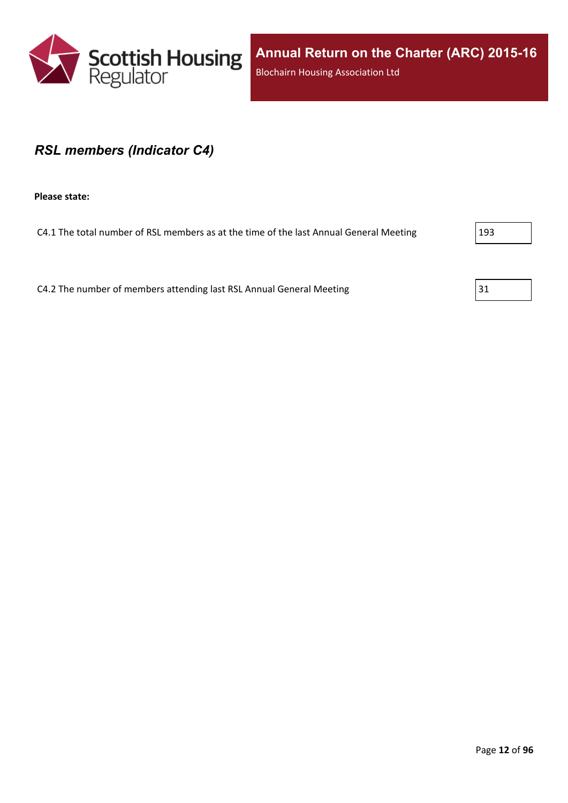

#### <span id="page-11-0"></span>*RSL members (Indicator C4)*

**Please state:**

C4.1 The total number of RSL members as at the time of the last Annual General Meeting 293

C4.2 The number of members attending last RSL Annual General Meeting  $31$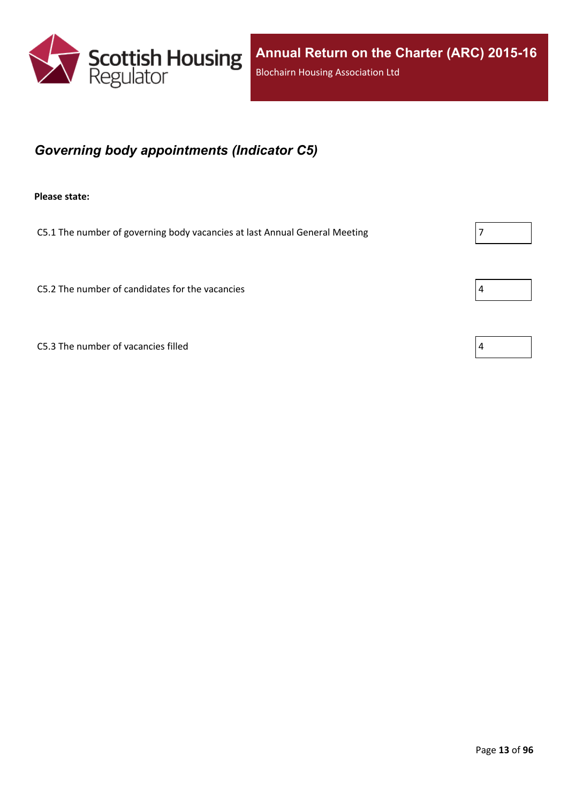

## <span id="page-12-0"></span>*Governing body appointments (Indicator C5)*

**Please state:**

C5.1 The number of governing body vacancies at last Annual General Meeting  $\vert$  7

C5.2 The number of candidates for the vacancies  $\vert 4 \vert$ 

C5.3 The number of vacancies filled  $\vert 4 \vert$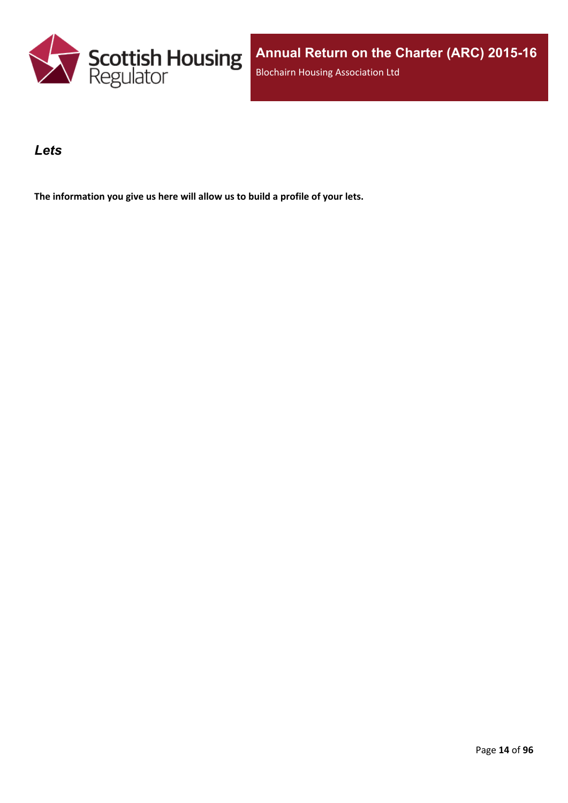

#### <span id="page-13-0"></span>*Lets*

**The information you give us here will allow us to build a profile of your lets.**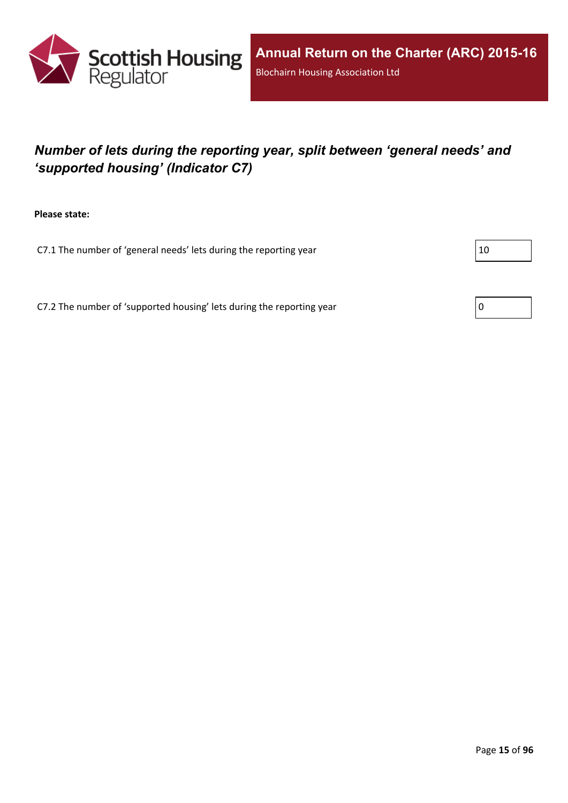

## <span id="page-14-0"></span>*Number of lets during the reporting year, split between 'general needs' and 'supported housing' (Indicator C7)*

**Please state:**

C7.1 The number of 'general needs' lets during the reporting year  $|10 \rangle$ 

C7.2 The number of 'supported housing' lets during the reporting year  $\vert 0 \rangle$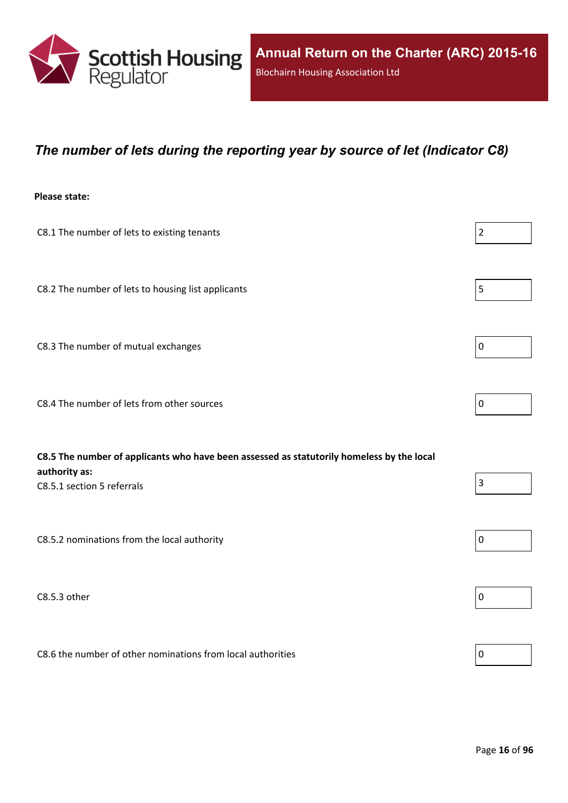

#### <span id="page-15-0"></span>*The number of lets during the reporting year by source of let (Indicator C8)*

#### **Please state:**

| C8.1 The number of lets to existing tenants                                                                                              | $\overline{2}$ |
|------------------------------------------------------------------------------------------------------------------------------------------|----------------|
| C8.2 The number of lets to housing list applicants                                                                                       | 5              |
| C8.3 The number of mutual exchanges                                                                                                      | $\mathbf 0$    |
| C8.4 The number of lets from other sources                                                                                               | 0              |
| C8.5 The number of applicants who have been assessed as statutorily homeless by the local<br>authority as:<br>C8.5.1 section 5 referrals | $\overline{3}$ |
| C8.5.2 nominations from the local authority                                                                                              | $\mathbf 0$    |
| C8.5.3 other                                                                                                                             | 0              |

C8.6 the number of other nominations from local authorities  $\vert_0$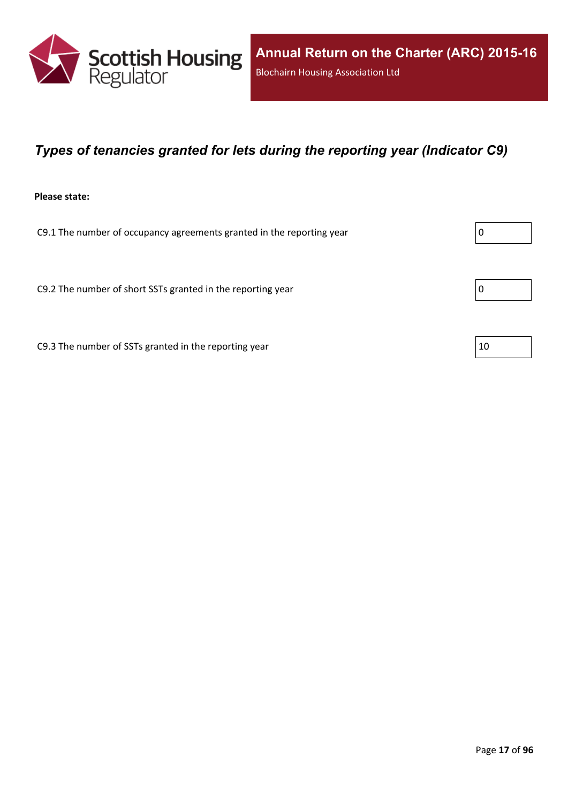

### <span id="page-16-0"></span>*Types of tenancies granted for lets during the reporting year (Indicator C9)*

#### **Please state:**

C9.1 The number of occupancy agreements granted in the reporting year  $\vert 0 \rangle$ 

C9.2 The number of short SSTs granted in the reporting year  $\vert 0 \rangle$ 

C9.3 The number of SSTs granted in the reporting year  $10$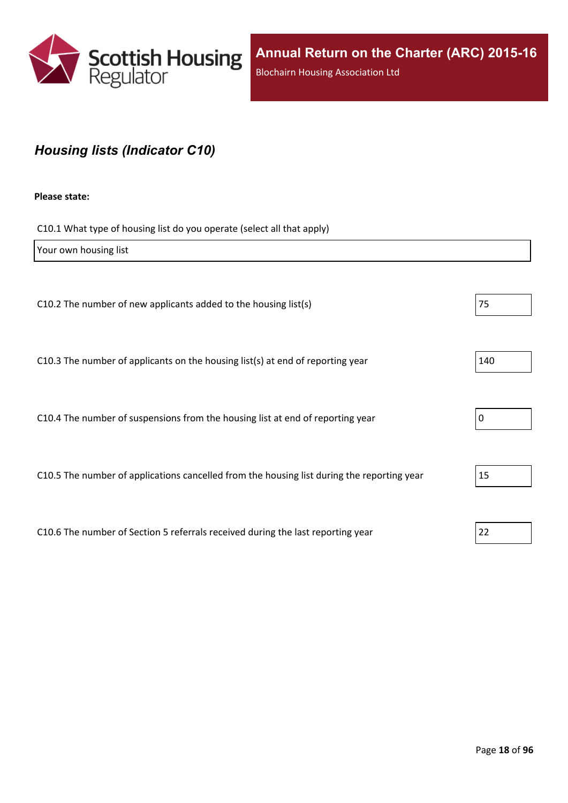

## <span id="page-17-0"></span>*Housing lists (Indicator C10)*

#### **Please state:**

C10.1 What type of housing list do you operate (select all that apply)

| Your own housing list                                                                      |     |
|--------------------------------------------------------------------------------------------|-----|
|                                                                                            |     |
| C10.2 The number of new applicants added to the housing list(s)                            | 75  |
|                                                                                            |     |
| C10.3 The number of applicants on the housing list(s) at end of reporting year             | 140 |
|                                                                                            |     |
| C10.4 The number of suspensions from the housing list at end of reporting year             | 0   |
|                                                                                            |     |
| C10.5 The number of applications cancelled from the housing list during the reporting year | 15  |
|                                                                                            |     |
| C10.6 The number of Section 5 referrals received during the last reporting year            | 22  |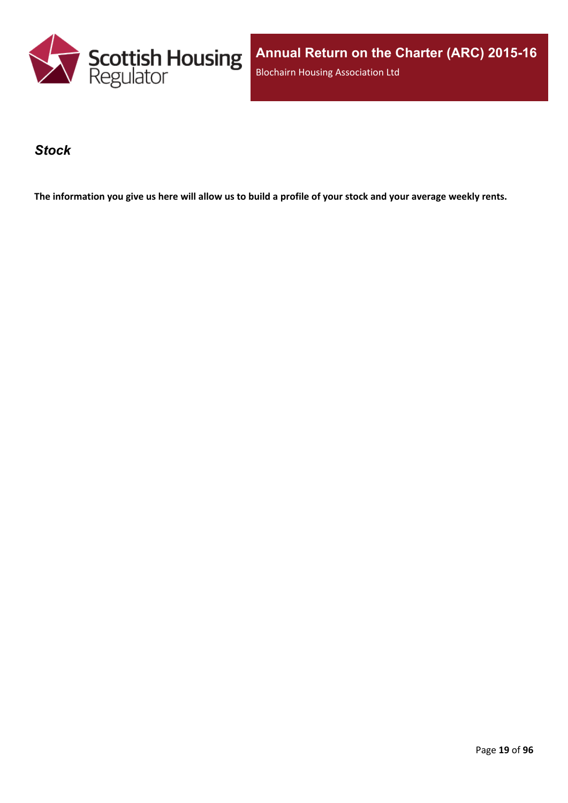

**Annual Return on the Charter (ARC) 2015-16** Blochairn Housing Association Ltd

#### <span id="page-18-0"></span>*Stock*

The information you give us here will allow us to build a profile of your stock and your average weekly rents.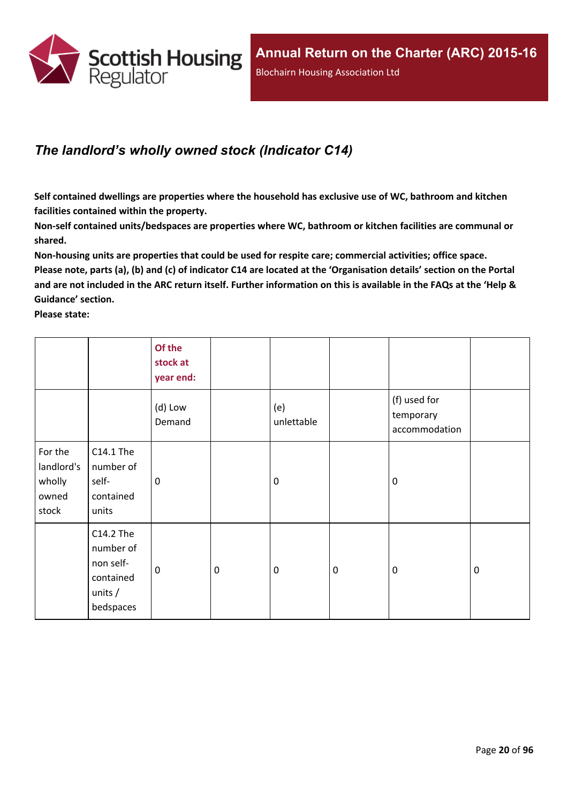

## <span id="page-19-0"></span>*The landlord's wholly owned stock (Indicator C14)*

**Self contained dwellings are properties where the household has exclusive use of WC, bathroom and kitchen facilities contained within the property.**

**Non-self contained units/bedspaces are properties where WC, bathroom or kitchen facilities are communal or shared.**

**Non-housing units are properties that could be used for respite care; commercial activities; office space.** Please note, parts (a), (b) and (c) of indicator C14 are located at the 'Organisation details' section on the Portal and are not included in the ARC return itself. Further information on this is available in the FAQs at the 'Help & **Guidance' section.**

**Please state:**

|                                                   |                                                                            | Of the<br>stock at<br>year end: |                  |                   |           |                                            |             |
|---------------------------------------------------|----------------------------------------------------------------------------|---------------------------------|------------------|-------------------|-----------|--------------------------------------------|-------------|
|                                                   |                                                                            | (d) Low<br>Demand               |                  | (e)<br>unlettable |           | (f) used for<br>temporary<br>accommodation |             |
| For the<br>landlord's<br>wholly<br>owned<br>stock | C14.1 The<br>number of<br>self-<br>contained<br>units                      | 0                               |                  | $\mathbf 0$       |           | $\mathbf 0$                                |             |
|                                                   | C14.2 The<br>number of<br>non self-<br>contained<br>units $/$<br>bedspaces | $\mathbf 0$                     | $\boldsymbol{0}$ | $\boldsymbol{0}$  | $\pmb{0}$ | $\mathbf 0$                                | $\mathbf 0$ |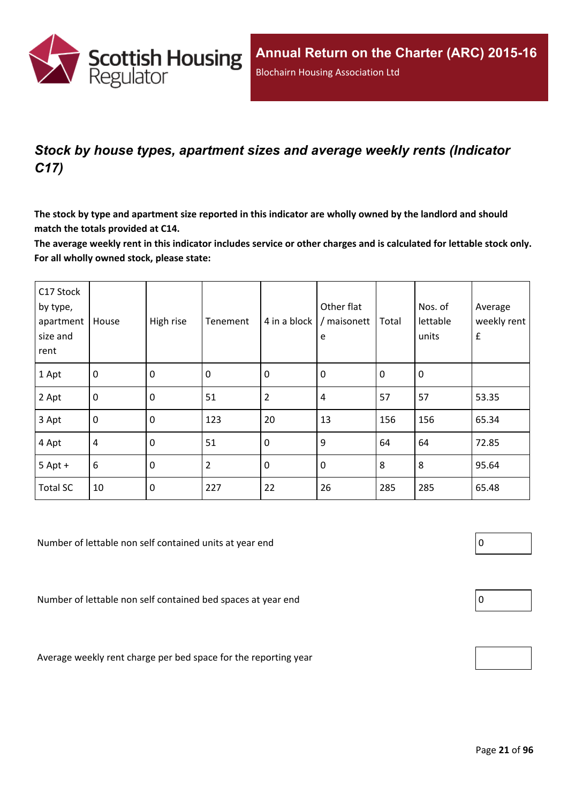

## <span id="page-20-0"></span>*Stock by house types, apartment sizes and average weekly rents (Indicator C17)*

The stock by type and apartment size reported in this indicator are wholly owned by the landlord and should **match the totals provided at C14.**

The average weekly rent in this indicator includes service or other charges and is calculated for lettable stock only. **For all wholly owned stock, please state:**

| C17 Stock<br>by type,<br>apartment<br>size and<br>rent | House            | High rise        | Tenement | 4 in a block   | Other flat<br>/ maisonett<br>e | Total       | Nos. of<br>lettable<br>units | Average<br>weekly rent<br>$\pmb{\mathsf{f}}$ |
|--------------------------------------------------------|------------------|------------------|----------|----------------|--------------------------------|-------------|------------------------------|----------------------------------------------|
| 1 Apt                                                  | $\mathbf 0$      | $\mathbf 0$      | 0        | $\mathbf 0$    | 0                              | $\mathbf 0$ | 0                            |                                              |
| 2 Apt                                                  | $\mathbf 0$      | $\mathbf 0$      | 51       | $\overline{2}$ | 4                              | 57          | 57                           | 53.35                                        |
| 3 Apt                                                  | $\boldsymbol{0}$ | $\mathbf 0$      | 123      | 20             | 13                             | 156         | 156                          | 65.34                                        |
| 4 Apt                                                  | $\overline{4}$   | $\mathbf 0$      | 51       | $\mathbf 0$    | 9                              | 64          | 64                           | 72.85                                        |
| $5$ Apt +                                              | $6\,$            | $\boldsymbol{0}$ | 2        | $\mathbf 0$    | $\pmb{0}$                      | 8           | 8                            | 95.64                                        |
| <b>Total SC</b>                                        | 10               | $\mathbf 0$      | 227      | 22             | 26                             | 285         | 285                          | 65.48                                        |

Number of lettable non self contained units at year end  $\vert 0 \vert$ 

Number of lettable non self contained bed spaces at year end  $\vert$  0

Average weekly rent charge per bed space for the reporting year

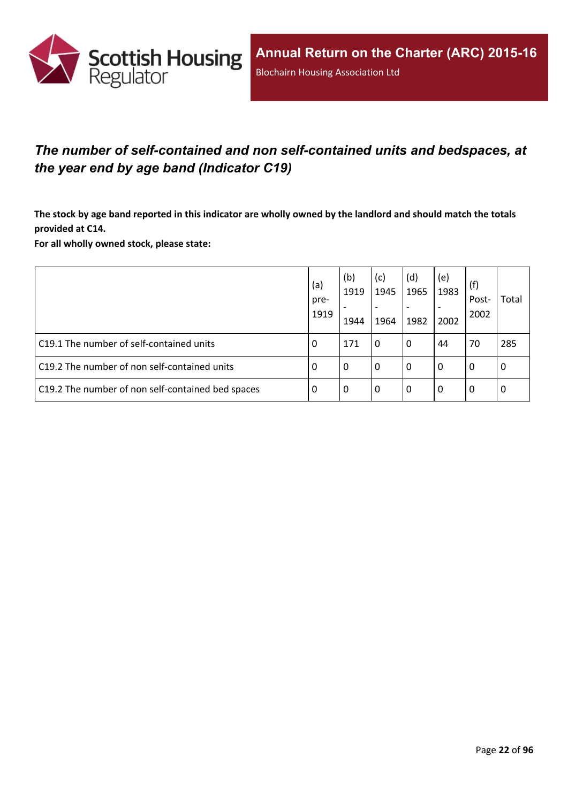

## <span id="page-21-0"></span>*The number of self-contained and non self-contained units and bedspaces, at the year end by age band (Indicator C19)*

The stock by age band reported in this indicator are wholly owned by the landlord and should match the totals **provided at C14.**

**For all wholly owned stock, please state:**

|                                                   | (a)<br>pre-<br>1919 | (b)<br>1919<br>1944 | (c)<br>1945<br>1964 | (d)<br>1965<br>1982 | (e)<br>1983<br>2002 | (f)<br>Post-<br>2002 | Total |
|---------------------------------------------------|---------------------|---------------------|---------------------|---------------------|---------------------|----------------------|-------|
| C19.1 The number of self-contained units          | 0                   | 171                 | $\Omega$            | 0                   | 44                  | 70                   | 285   |
| C19.2 The number of non self-contained units      | O                   | 0                   | 0                   | 0                   | 0                   | 0                    | 0     |
| C19.2 The number of non self-contained bed spaces | 0                   | 0                   | 0                   | 0                   | 0                   | 0                    | 0     |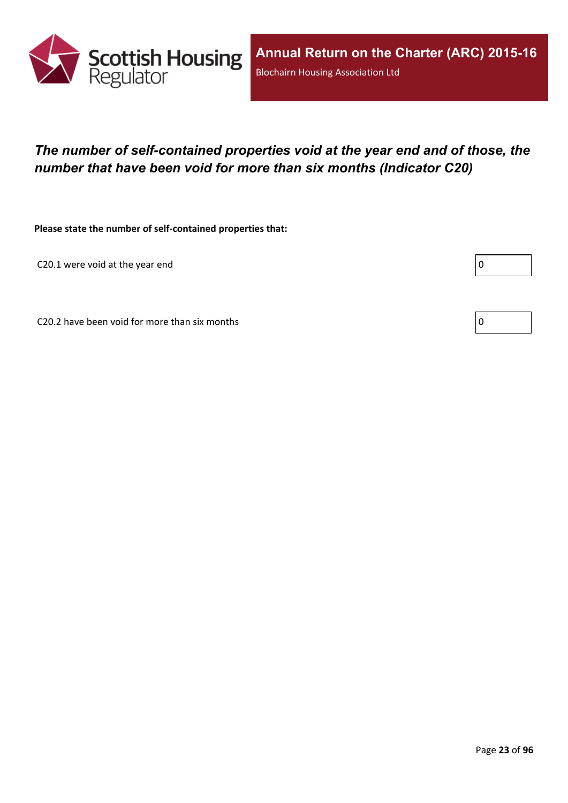

## <span id="page-22-0"></span>*The number of self-contained properties void at the year end and of those, the number that have been void for more than six months (Indicator C20)*

**Please state the number of self-contained properties that:**

C20.1 were void at the year end

Г

C20.2 have been void for more than six months  $\vert 0 \rangle$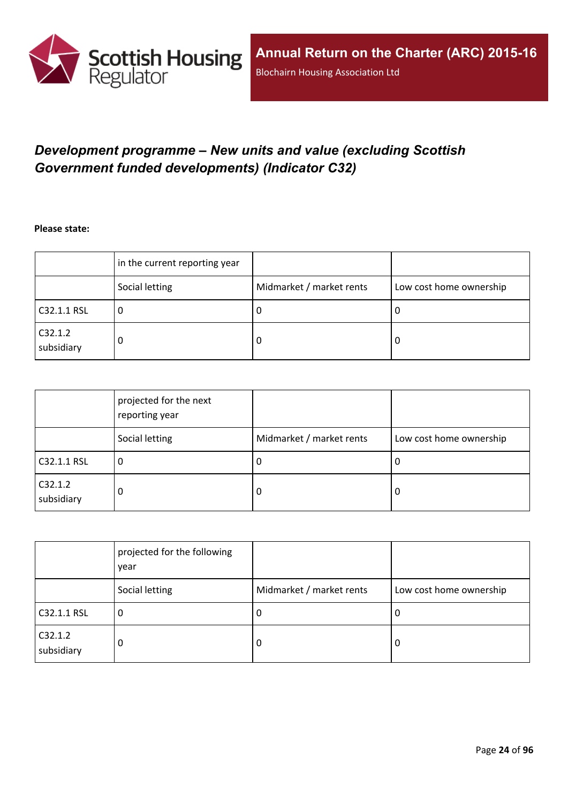

## <span id="page-23-0"></span>*Development programme – New units and value (excluding Scottish Government funded developments) (Indicator C32)*

**Please state:**

|                       | in the current reporting year |                          |                         |
|-----------------------|-------------------------------|--------------------------|-------------------------|
|                       | Social letting                | Midmarket / market rents | Low cost home ownership |
| C32.1.1 RSL           | υ                             | υ                        | ∣U                      |
| C32.1.2<br>subsidiary | 0                             | υ                        | -0                      |

|                       | projected for the next<br>reporting year |                          |                         |
|-----------------------|------------------------------------------|--------------------------|-------------------------|
|                       | Social letting                           | Midmarket / market rents | Low cost home ownership |
| C32.1.1 RSL           | 0                                        | <b>U</b>                 | 0                       |
| C32.1.2<br>subsidiary | 0                                        | 0                        | 0                       |

|                       | projected for the following<br>year |                          |                         |
|-----------------------|-------------------------------------|--------------------------|-------------------------|
|                       | Social letting                      | Midmarket / market rents | Low cost home ownership |
| C32.1.1 RSL           | 0                                   | -U                       | 0                       |
| C32.1.2<br>subsidiary | 0                                   | 0                        | 0                       |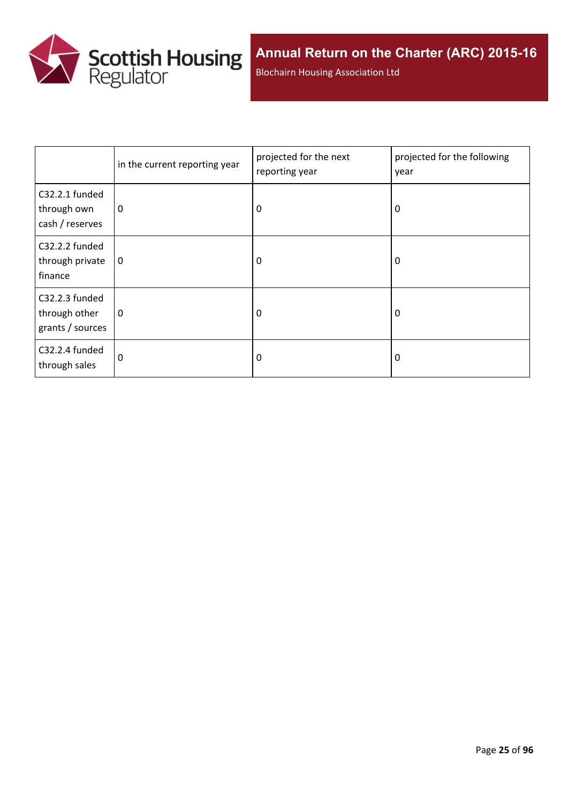

Blochairn Housing Association Ltd

|                                                     | in the current reporting year | projected for the next<br>reporting year | projected for the following<br>year |
|-----------------------------------------------------|-------------------------------|------------------------------------------|-------------------------------------|
| C32.2.1 funded<br>through own<br>cash / reserves    | 0                             | 0                                        | 0                                   |
| C32.2.2 funded<br>through private<br>finance        | $\mathbf 0$                   | 0                                        | 0                                   |
| C32.2.3 funded<br>through other<br>grants / sources | 0                             | 0                                        | 0                                   |
| C32.2.4 funded<br>through sales                     | 0                             | 0                                        | 0                                   |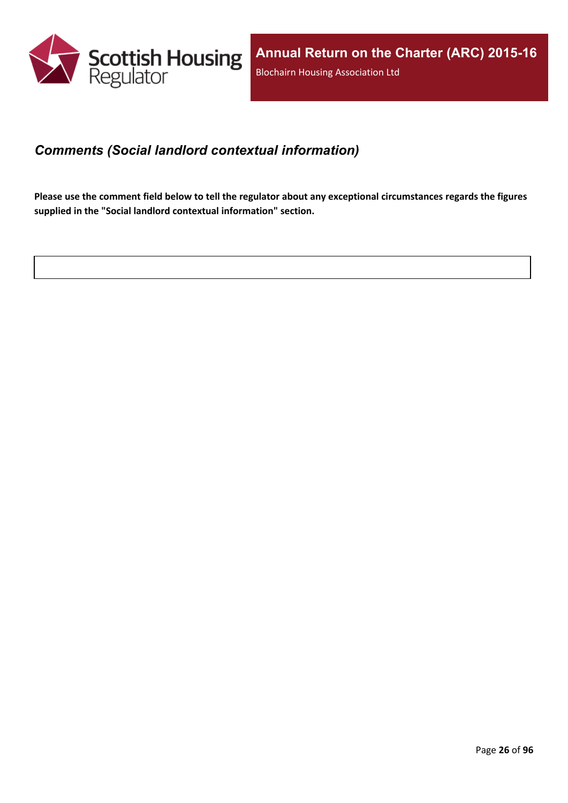

### <span id="page-25-0"></span>*Comments (Social landlord contextual information)*

Please use the comment field below to tell the regulator about any exceptional circumstances regards the figures **supplied in the "Social landlord contextual information" section.**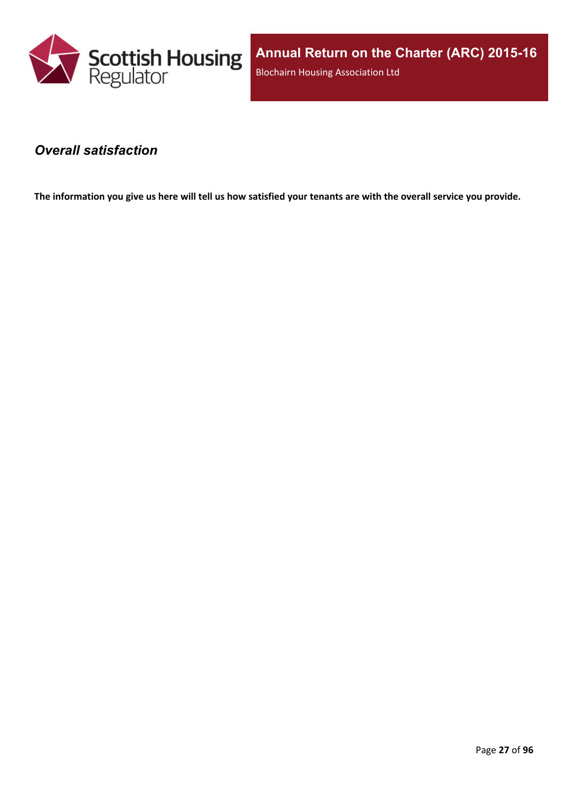

**Annual Return on the Charter (ARC) 2015-16** Blochairn Housing Association Ltd

#### <span id="page-26-0"></span>*Overall satisfaction*

The information you give us here will tell us how satisfied your tenants are with the overall service you provide.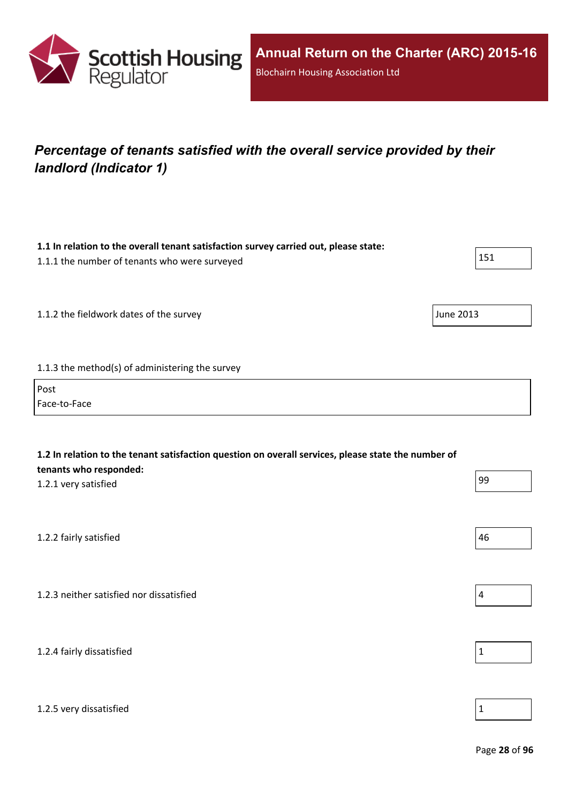

# <span id="page-27-0"></span>*Percentage of tenants satisfied with the overall service provided by their landlord (Indicator 1)*

| 1.1 In relation to the overall tenant satisfaction survey carried out, please state:<br>1.1.1 the number of tenants who were surveyed                 | 151              |
|-------------------------------------------------------------------------------------------------------------------------------------------------------|------------------|
| 1.1.2 the fieldwork dates of the survey                                                                                                               | <b>June 2013</b> |
| 1.1.3 the method(s) of administering the survey                                                                                                       |                  |
| Post<br>Face-to-Face                                                                                                                                  |                  |
| 1.2 In relation to the tenant satisfaction question on overall services, please state the number of<br>tenants who responded:<br>1.2.1 very satisfied | 99               |
| 1.2.2 fairly satisfied                                                                                                                                | 46               |
| 1.2.3 neither satisfied nor dissatisfied                                                                                                              | $\overline{a}$   |
| 1.2.4 fairly dissatisfied                                                                                                                             | $\mathbf 1$      |
| 1.2.5 very dissatisfied                                                                                                                               | $\mathbf 1$      |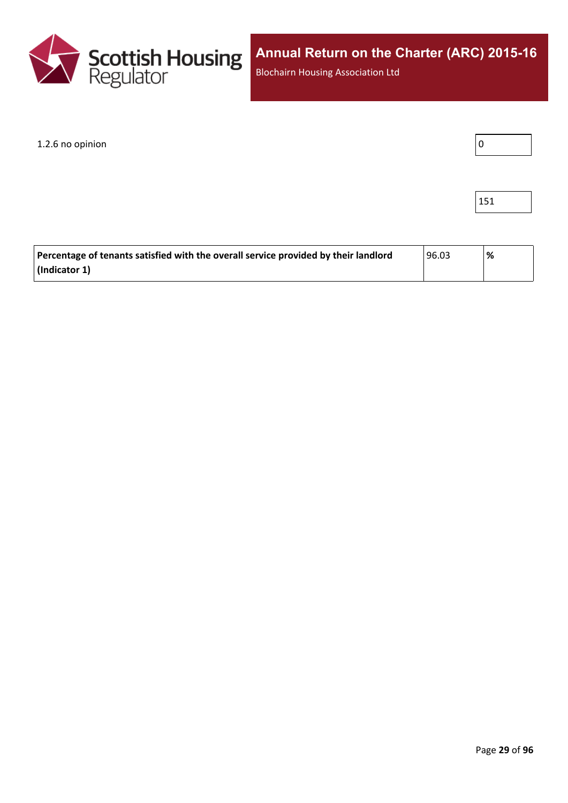

Blochairn Housing Association Ltd

#### $1.2.6$  no opinion  $\boxed{0}$



| Percentage of tenants satisfied with the overall service provided by their landlord | 96.03 | % |
|-------------------------------------------------------------------------------------|-------|---|
| (Indicator 1)                                                                       |       |   |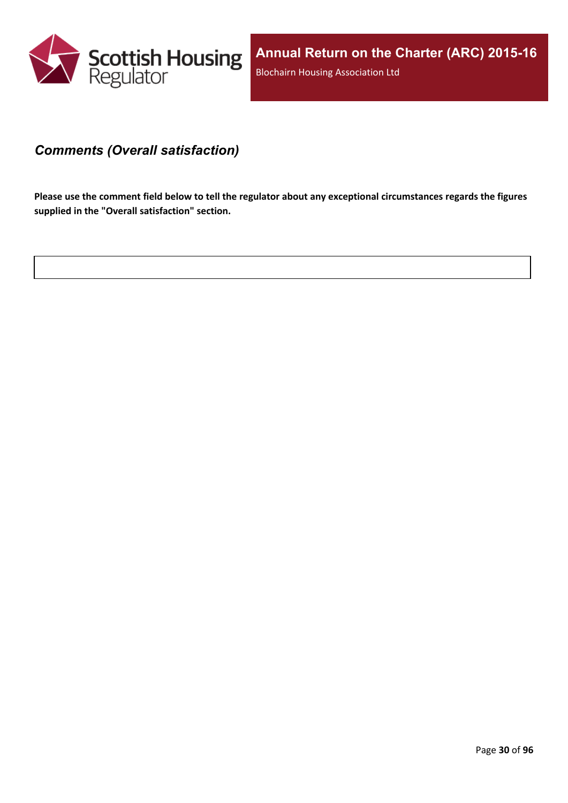

#### <span id="page-29-0"></span>*Comments (Overall satisfaction)*

Please use the comment field below to tell the regulator about any exceptional circumstances regards the figures **supplied in the "Overall satisfaction" section.**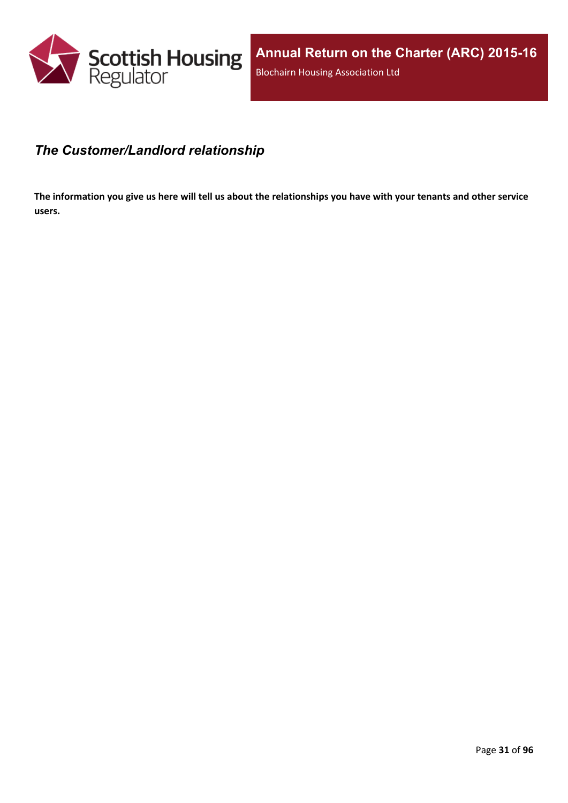

### <span id="page-30-0"></span>*The Customer/Landlord relationship*

The information you give us here will tell us about the relationships you have with your tenants and other service **users.**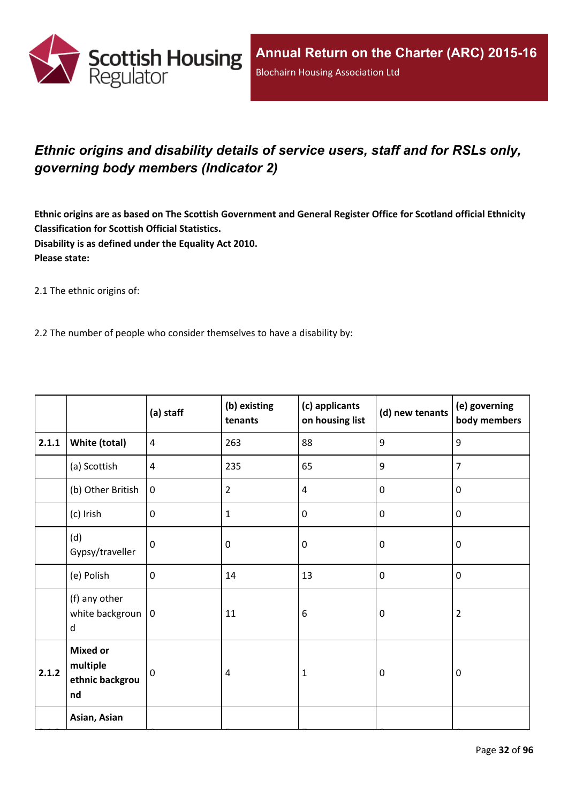

## <span id="page-31-0"></span>*Ethnic origins and disability details of service users, staff and for RSLs only, governing body members (Indicator 2)*

Ethnic origins are as based on The Scottish Government and General Register Office for Scotland official Ethnicity **Classification for Scottish Official Statistics. Disability is as defined under the Equality Act 2010. Please state:**

2.1 The ethnic origins of:

2.2 The number of people who consider themselves to have a disability by:

|       |                                                      | (a) staff      | (b) existing<br>tenants | (c) applicants<br>on housing list | (d) new tenants  | (e) governing<br>body members |
|-------|------------------------------------------------------|----------------|-------------------------|-----------------------------------|------------------|-------------------------------|
| 2.1.1 | White (total)                                        | $\overline{4}$ | 263                     | 88                                | 9                | 9                             |
|       | (a) Scottish                                         | $\overline{4}$ | 235                     | 65                                | 9                | $\overline{7}$                |
|       | (b) Other British                                    | $\mathbf 0$    | $\overline{2}$          | $\overline{4}$                    | $\mathbf 0$      | $\mathbf 0$                   |
|       | (c) Irish                                            | $\mathbf 0$    | $\mathbf{1}$            | $\mathbf 0$                       | $\mathbf 0$      | $\mathbf 0$                   |
|       | (d)<br>Gypsy/traveller                               | $\mathbf{0}$   | 0                       | $\mathbf 0$                       | $\mathbf 0$      | $\mathbf 0$                   |
|       | (e) Polish                                           | $\mathbf 0$    | 14                      | 13                                | $\mathbf 0$      | $\mathbf 0$                   |
|       | (f) any other<br>white backgroun $ 0$<br>d           |                | 11                      | 6                                 | $\mathbf 0$      | $\overline{2}$                |
| 2.1.2 | <b>Mixed or</b><br>multiple<br>ethnic backgrou<br>nd | 0              | 4                       | $\mathbf{1}$                      | $\boldsymbol{0}$ | $\mathbf 0$                   |
|       | Asian, Asian                                         |                |                         |                                   |                  |                               |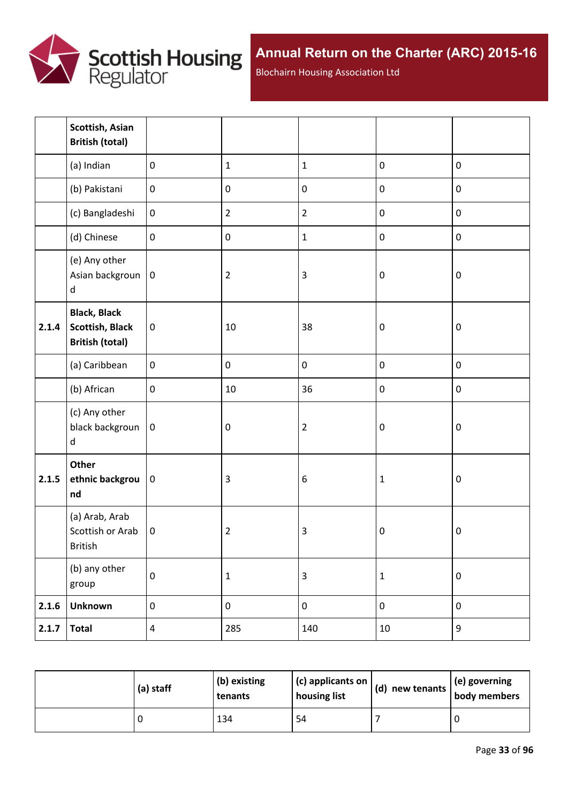

Blochairn Housing Association Ltd

|       | Scottish, Asian<br><b>British (total)</b>                               |                  |                |                         |                  |                  |
|-------|-------------------------------------------------------------------------|------------------|----------------|-------------------------|------------------|------------------|
|       | (a) Indian                                                              | $\mathbf 0$      | $\mathbf 1$    | $\mathbf 1$             | $\pmb{0}$        | $\pmb{0}$        |
|       | (b) Pakistani                                                           | $\boldsymbol{0}$ | $\pmb{0}$      | $\pmb{0}$               | $\pmb{0}$        | $\pmb{0}$        |
|       | (c) Bangladeshi                                                         | $\boldsymbol{0}$ | $\overline{2}$ | $\overline{2}$          | $\pmb{0}$        | $\pmb{0}$        |
|       | (d) Chinese                                                             | $\mathbf 0$      | $\pmb{0}$      | $\mathbf{1}$            | $\pmb{0}$        | $\pmb{0}$        |
|       | (e) Any other<br>Asian backgroun<br>$\sf d$                             | $\pmb{0}$        | $\overline{2}$ | $\overline{3}$          | $\boldsymbol{0}$ | $\pmb{0}$        |
| 2.1.4 | <b>Black, Black</b><br><b>Scottish, Black</b><br><b>British (total)</b> | $\pmb{0}$        | 10             | 38                      | $\boldsymbol{0}$ | $\pmb{0}$        |
|       | (a) Caribbean                                                           | $\mathbf 0$      | $\pmb{0}$      | $\pmb{0}$               | $\pmb{0}$        | $\pmb{0}$        |
|       | (b) African                                                             | $\mathbf 0$      | 10             | 36                      | $\pmb{0}$        | $\pmb{0}$        |
|       | (c) Any other<br>black backgroun<br>d                                   | $\mathbf 0$      | $\pmb{0}$      | $\mathbf 2$             | $\boldsymbol{0}$ | $\boldsymbol{0}$ |
| 2.1.5 | Other<br>ethnic backgrou<br>nd                                          | $\pmb{0}$        | $\mathsf 3$    | $\boldsymbol{6}$        | $\mathbf 1$      | $\pmb{0}$        |
|       | (a) Arab, Arab<br>Scottish or Arab<br>British                           | $\mathbf 0$      | $\overline{2}$ | $\mathsf 3$             | $\pmb{0}$        | $\pmb{0}$        |
|       | (b) any other<br>group                                                  | $\pmb{0}$        | $\mathbf 1$    | $\overline{\mathbf{3}}$ | $\mathbf 1$      | $\pmb{0}$        |
| 2.1.6 | <b>Unknown</b>                                                          | $\boldsymbol{0}$ | $\pmb{0}$      | $\pmb{0}$               | $\pmb{0}$        | $\pmb{0}$        |
| 2.1.7 | <b>Total</b>                                                            | $\overline{4}$   | 285            | 140                     | $10\,$           | 9                |

| (a) staff | (b) existing<br>tenants | $(c)$ applicants on<br>housing list | $\vert$ (d) new tenants $\vert$ . | $\vert$ (e) governing<br>body members |
|-----------|-------------------------|-------------------------------------|-----------------------------------|---------------------------------------|
|           | 134                     | 54                                  |                                   |                                       |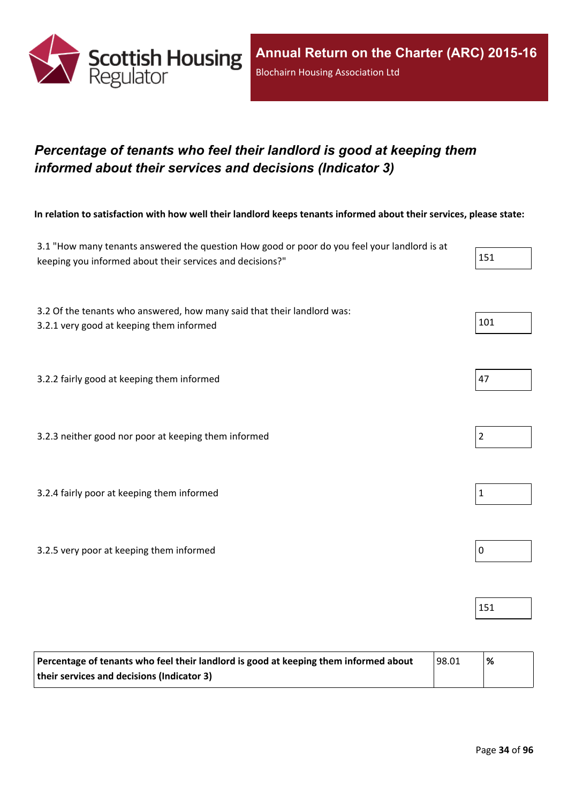

## <span id="page-33-0"></span>*Percentage of tenants who feel their landlord is good at keeping them informed about their services and decisions (Indicator 3)*

In relation to satisfaction with how well their landlord keeps tenants informed about their services, please state:

| 3.1 "How many tenants answered the question How good or poor do you feel your landlord is at<br>keeping you informed about their services and decisions?" | 151            |
|-----------------------------------------------------------------------------------------------------------------------------------------------------------|----------------|
| 3.2 Of the tenants who answered, how many said that their landlord was:<br>3.2.1 very good at keeping them informed                                       | 101            |
| 3.2.2 fairly good at keeping them informed                                                                                                                | 47             |
| 3.2.3 neither good nor poor at keeping them informed                                                                                                      | $\overline{2}$ |
| 3.2.4 fairly poor at keeping them informed                                                                                                                | $\mathbf{1}$   |
| 3.2.5 very poor at keeping them informed                                                                                                                  | $\mathbf 0$    |
|                                                                                                                                                           | 151            |

| Percentage of tenants who feel their landlord is good at keeping them informed about | 98.01 | % |
|--------------------------------------------------------------------------------------|-------|---|
| their services and decisions (Indicator 3)                                           |       |   |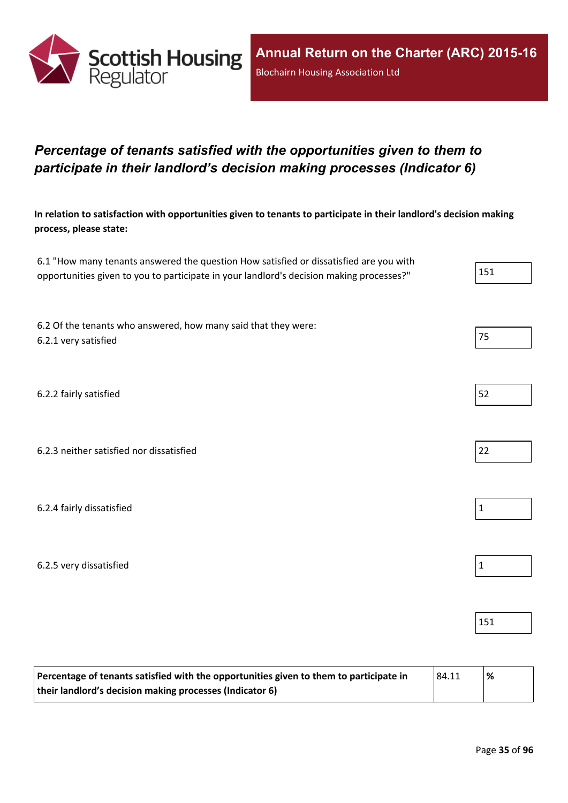

## <span id="page-34-0"></span>*Percentage of tenants satisfied with the opportunities given to them to participate in their landlord's decision making processes (Indicator 6)*

In relation to satisfaction with opportunities given to tenants to participate in their landlord's decision making **process, please state:**

| 6.1 "How many tenants answered the question How satisfied or dissatisfied are you with   |     |
|------------------------------------------------------------------------------------------|-----|
| opportunities given to you to participate in your landlord's decision making processes?" | 151 |

6.2 Of the tenants who answered, how many said that they were: 6.2.1 very satisfied 75

6.2.2 fairly satisfied 52

6.2.3 neither satisfied nor dissatisfied 22

6.2.4 fairly dissatisfied  $\vert$  1

6.2.5 very dissatisfied and the set of the set of the set of the set of the set of the set of the set of the set of the set of the set of the set of the set of the set of the set of the set of the set of the set of the set

| Percentage of tenants satisfied with the opportunities given to them to participate in | 84.11 | '% |
|----------------------------------------------------------------------------------------|-------|----|
| their landlord's decision making processes (Indicator 6)                               |       |    |

- 
- 
- 
- 
- 151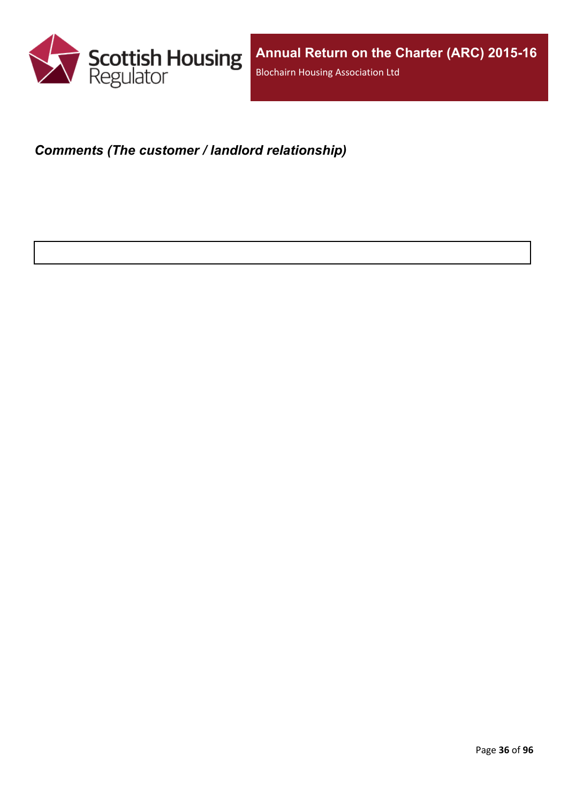

## <span id="page-35-0"></span>*Comments (The customer / landlord relationship)*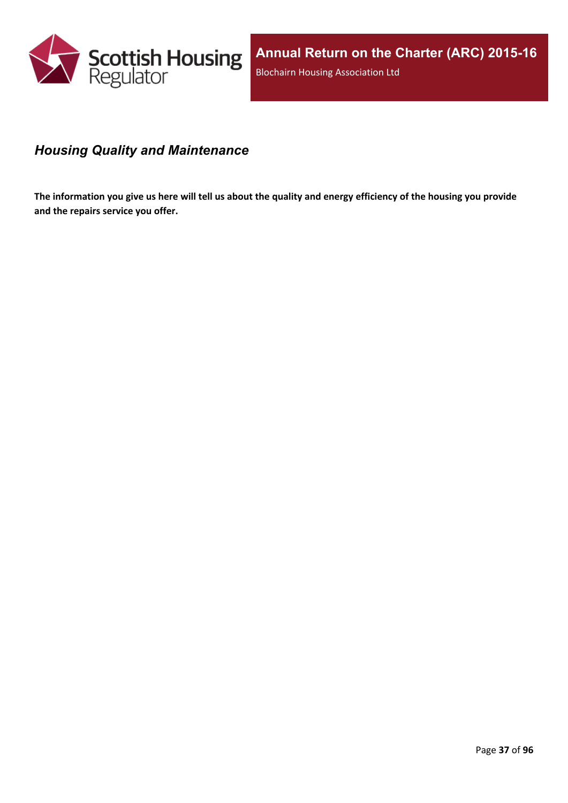

# *Housing Quality and Maintenance*

The information you give us here will tell us about the quality and energy efficiency of the housing you provide **and the repairs service you offer.**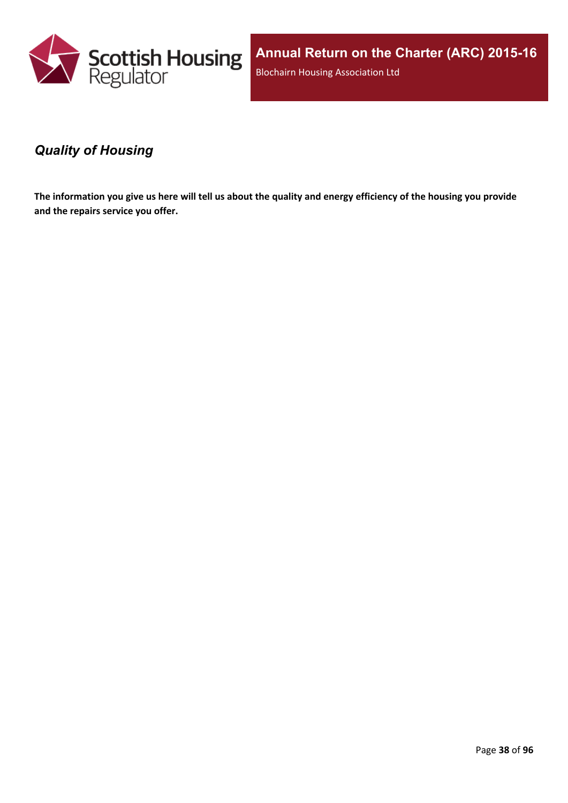

**Annual Return on the Charter (ARC) 2015-16** Blochairn Housing Association Ltd

### *Quality of Housing*

The information you give us here will tell us about the quality and energy efficiency of the housing you provide **and the repairs service you offer.**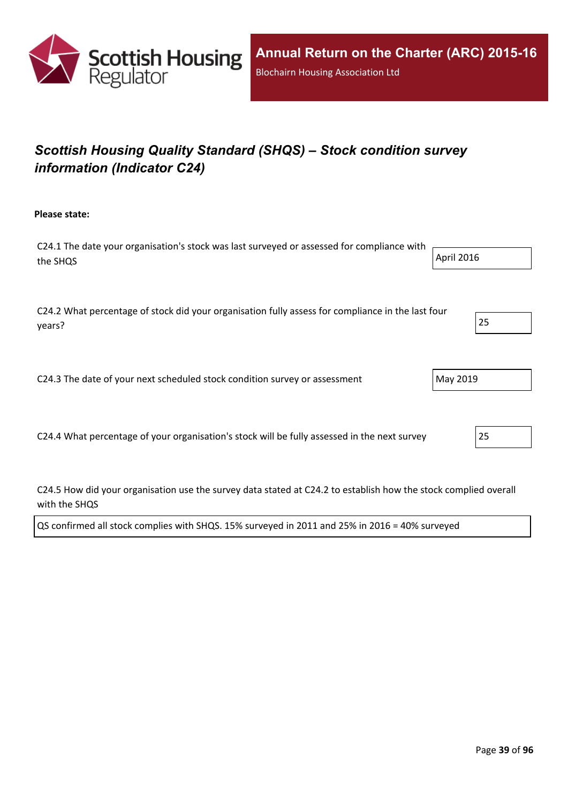

# *Scottish Housing Quality Standard (SHQS) – Stock condition survey information (Indicator C24)*

**Please state:**

| C24.1 The date your organisation's stock was last surveyed or assessed for compliance with |            |
|--------------------------------------------------------------------------------------------|------------|
| the SHOS                                                                                   | April 2016 |
|                                                                                            |            |

C24.2 What percentage of stock did your organisation fully assess for compliance in the last four years? 25

C24.3 The date of your next scheduled stock condition survey or assessment  $\vert$  May 2019

C24.4 What percentage of your organisation's stock will be fully assessed in the next survey 25

C24.5 How did your organisation use the survey data stated at C24.2 to establish how the stock complied overall with the SHQS

| QS confirmed all stock complies with SHQS. 15% surveyed in 2011 and 25% in 2016 = 40% surveyed |  |  |
|------------------------------------------------------------------------------------------------|--|--|
|                                                                                                |  |  |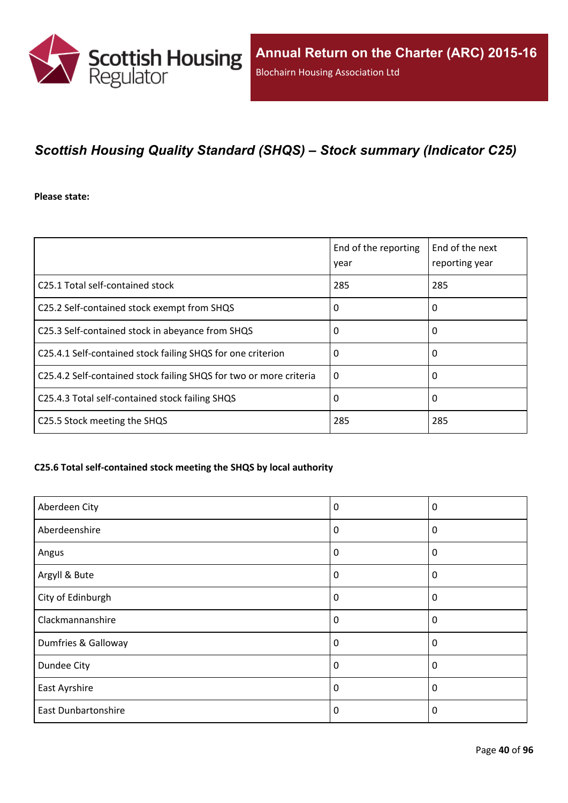

# *Scottish Housing Quality Standard (SHQS) – Stock summary (Indicator C25)*

**Please state:**

|                                                                    | End of the reporting<br>year | End of the next<br>reporting year |
|--------------------------------------------------------------------|------------------------------|-----------------------------------|
| C25.1 Total self-contained stock                                   | 285                          | 285                               |
| C25.2 Self-contained stock exempt from SHQS                        | 0                            | 0                                 |
| C25.3 Self-contained stock in abeyance from SHQS                   | 0                            | 0                                 |
| C25.4.1 Self-contained stock failing SHQS for one criterion        | 0                            | 0                                 |
| C25.4.2 Self-contained stock failing SHQS for two or more criteria | $\Omega$                     | 0                                 |
| C25.4.3 Total self-contained stock failing SHQS                    | 0                            | 0                                 |
| C25.5 Stock meeting the SHQS                                       | 285                          | 285                               |

#### **C25.6 Total self-contained stock meeting the SHQS by local authority**

| Aberdeen City              | 0        | $\boldsymbol{0}$ |
|----------------------------|----------|------------------|
| Aberdeenshire              | 0        | 0                |
| Angus                      | 0        | 0                |
| Argyll & Bute              | 0        | $\mathbf 0$      |
| City of Edinburgh          | 0        | $\boldsymbol{0}$ |
| Clackmannanshire           | 0        | $\mathbf{0}$     |
| Dumfries & Galloway        | $\Omega$ | $\Omega$         |
| Dundee City                | 0        | $\mathbf 0$      |
| East Ayrshire              | 0        | $\mathbf 0$      |
| <b>East Dunbartonshire</b> | 0        | 0                |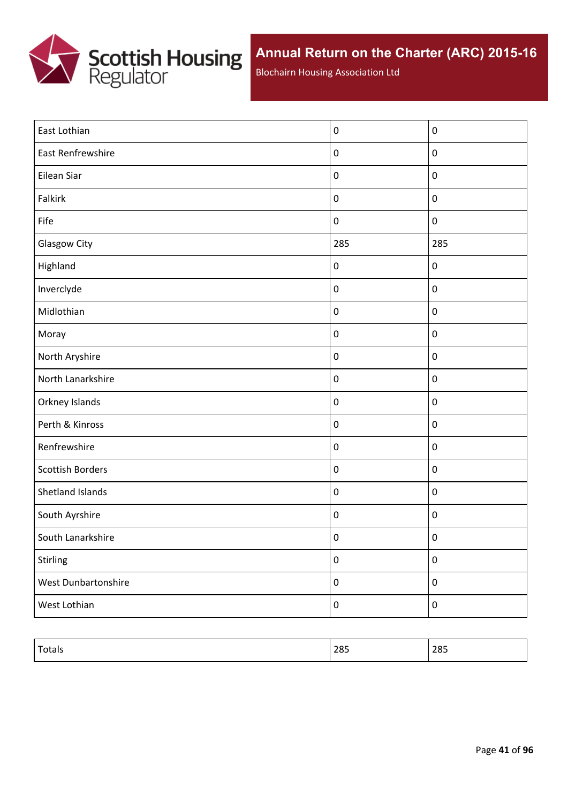

Blochairn Housing Association Ltd

| East Lothian            | $\pmb{0}$        | $\mathbf 0$ |
|-------------------------|------------------|-------------|
| East Renfrewshire       | $\pmb{0}$        | $\pmb{0}$   |
| Eilean Siar             | $\pmb{0}$        | $\pmb{0}$   |
| Falkirk                 | $\pmb{0}$        | $\pmb{0}$   |
| Fife                    | $\pmb{0}$        | $\pmb{0}$   |
| <b>Glasgow City</b>     | 285              | 285         |
| Highland                | $\pmb{0}$        | $\pmb{0}$   |
| Inverclyde              | $\pmb{0}$        | $\pmb{0}$   |
| Midlothian              | $\pmb{0}$        | $\pmb{0}$   |
| Moray                   | $\pmb{0}$        | $\pmb{0}$   |
| North Aryshire          | $\pmb{0}$        | $\pmb{0}$   |
| North Lanarkshire       | $\pmb{0}$        | $\pmb{0}$   |
| Orkney Islands          | $\pmb{0}$        | $\pmb{0}$   |
| Perth & Kinross         | $\pmb{0}$        | $\pmb{0}$   |
| Renfrewshire            | $\pmb{0}$        | $\pmb{0}$   |
| <b>Scottish Borders</b> | $\pmb{0}$        | $\pmb{0}$   |
| Shetland Islands        | $\pmb{0}$        | $\pmb{0}$   |
| South Ayrshire          | $\pmb{0}$        | $\pmb{0}$   |
| South Lanarkshire       | $\pmb{0}$        | $\pmb{0}$   |
| Stirling                | $\pmb{0}$        | $\pmb{0}$   |
| West Dunbartonshire     | $\pmb{0}$        | $\pmb{0}$   |
| West Lothian            | $\boldsymbol{0}$ | $\pmb{0}$   |
|                         |                  |             |

| $\tau$<br>Totals | 285 | 285 |
|------------------|-----|-----|
|                  |     |     |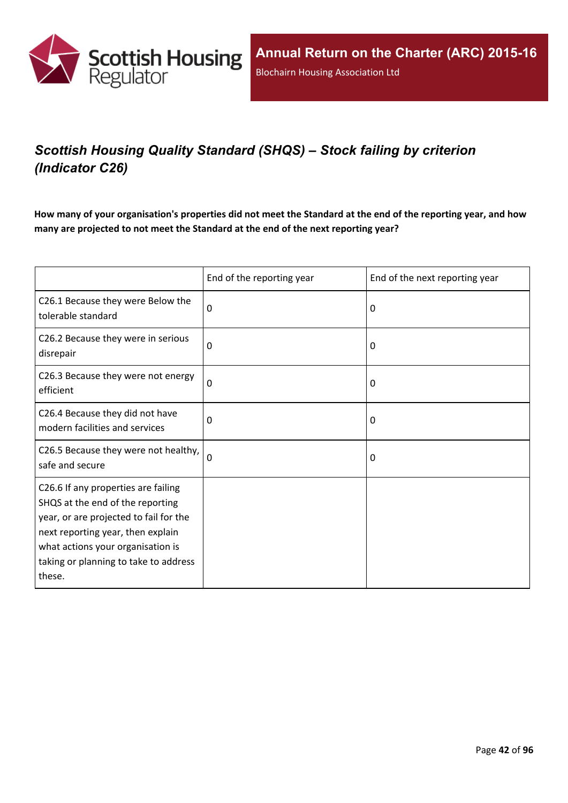

# *Scottish Housing Quality Standard (SHQS) – Stock failing by criterion (Indicator C26)*

How many of your organisation's properties did not meet the Standard at the end of the reporting year, and how **many are projected to not meet the Standard at the end of the next reporting year?**

|                                                                                                                                                                                                                                                | End of the reporting year | End of the next reporting year |
|------------------------------------------------------------------------------------------------------------------------------------------------------------------------------------------------------------------------------------------------|---------------------------|--------------------------------|
| C26.1 Because they were Below the<br>tolerable standard                                                                                                                                                                                        | 0                         | 0                              |
| C26.2 Because they were in serious<br>disrepair                                                                                                                                                                                                | 0                         | 0                              |
| C26.3 Because they were not energy<br>efficient                                                                                                                                                                                                | $\Omega$                  | 0                              |
| C26.4 Because they did not have<br>modern facilities and services                                                                                                                                                                              | $\Omega$                  | 0                              |
| C26.5 Because they were not healthy,<br>safe and secure                                                                                                                                                                                        | 0                         | 0                              |
| C26.6 If any properties are failing<br>SHQS at the end of the reporting<br>year, or are projected to fail for the<br>next reporting year, then explain<br>what actions your organisation is<br>taking or planning to take to address<br>these. |                           |                                |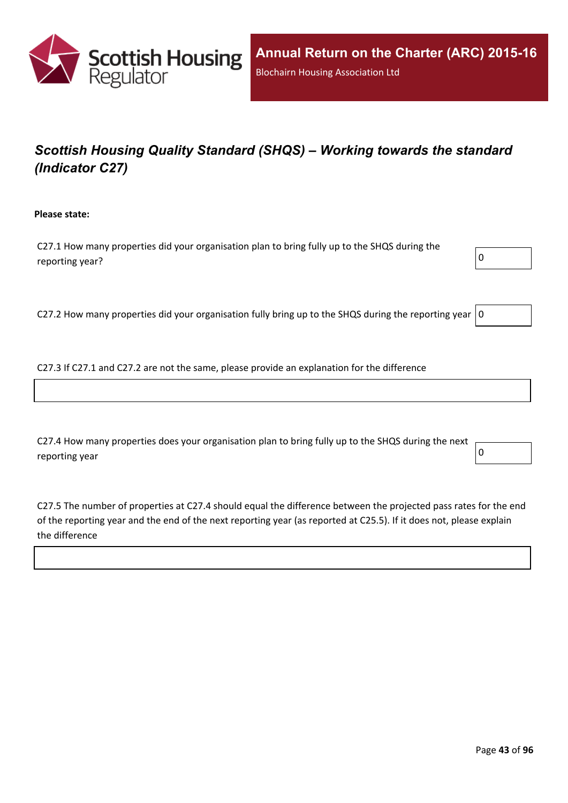

# *Scottish Housing Quality Standard (SHQS) – Working towards the standard (Indicator C27)*

**Please state:**

C27.1 How many properties did your organisation plan to bring fully up to the SHQS during the reporting year?  $\boxed{0}$ 



C27.2 How many properties did your organisation fully bring up to the SHQS during the reporting year  $|0$ 

C27.3 If C27.1 and C27.2 are not the same, please provide an explanation for the difference

C27.4 How many properties does your organisation plan to bring fully up to the SHQS during the next reporting year  $\begin{bmatrix} 0 \end{bmatrix}$ 

C27.5 The number of properties at C27.4 should equal the difference between the projected pass rates for the end of the reporting year and the end of the next reporting year (as reported at C25.5). If it does not, please explain the difference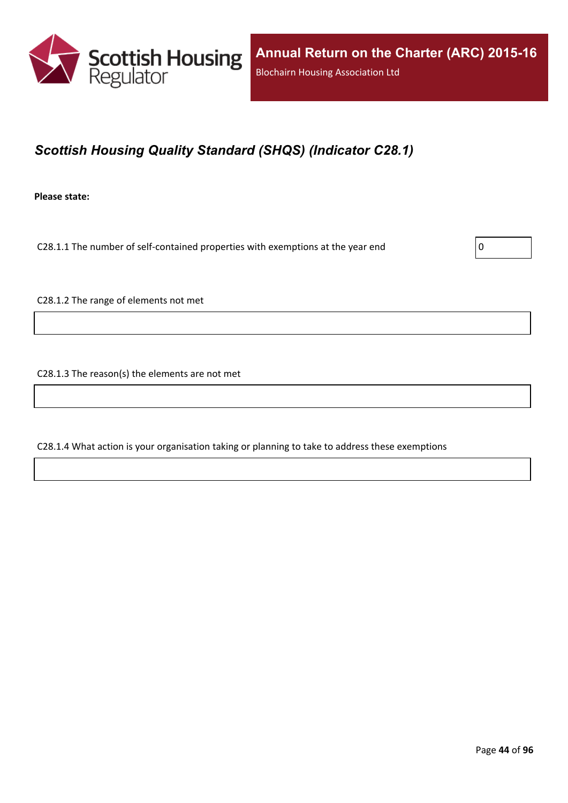

# *Scottish Housing Quality Standard (SHQS) (Indicator C28.1)*

**Please state:**

C28.1.1 The number of self-contained properties with exemptions at the year end  $\vert$  0

C28.1.2 The range of elements not met

C28.1.3 The reason(s) the elements are not met

C28.1.4 What action is your organisation taking or planning to take to address these exemptions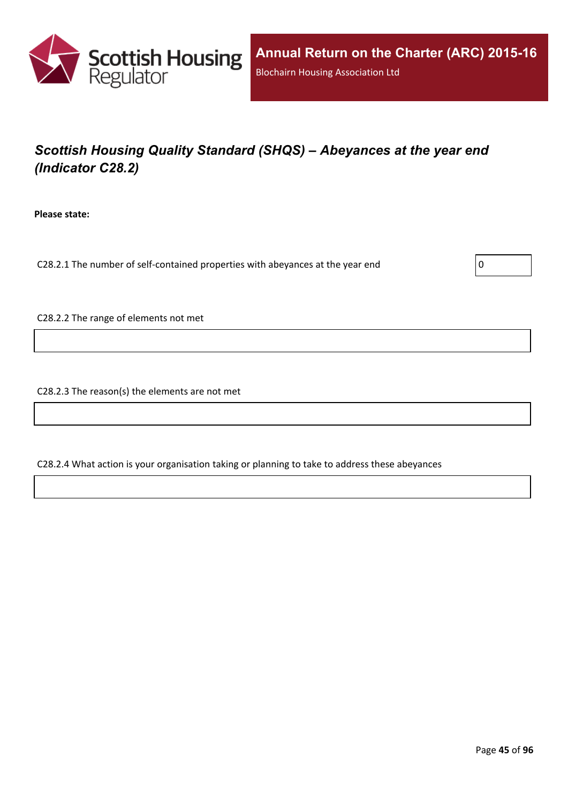

# *Scottish Housing Quality Standard (SHQS) – Abeyances at the year end (Indicator C28.2)*

**Please state:**

C28.2.1 The number of self-contained properties with abeyances at the year end  $\vert$  0

C28.2.2 The range of elements not met

C28.2.3 The reason(s) the elements are not met

C28.2.4 What action is your organisation taking or planning to take to address these abeyances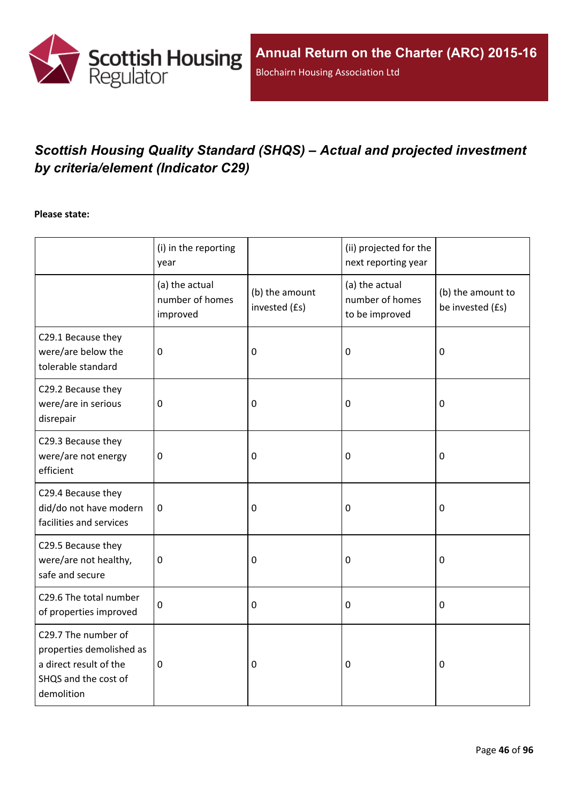

# *Scottish Housing Quality Standard (SHQS) – Actual and projected investment by criteria/element (Indicator C29)*

#### **Please state:**

|                                                                                                                 | (i) in the reporting<br>year                  |                                 | (ii) projected for the<br>next reporting year       |                                       |
|-----------------------------------------------------------------------------------------------------------------|-----------------------------------------------|---------------------------------|-----------------------------------------------------|---------------------------------------|
|                                                                                                                 | (a) the actual<br>number of homes<br>improved | (b) the amount<br>invested (£s) | (a) the actual<br>number of homes<br>to be improved | (b) the amount to<br>be invested (£s) |
| C29.1 Because they<br>were/are below the<br>tolerable standard                                                  | $\mathbf 0$                                   | $\mathbf 0$                     | 0                                                   | $\mathbf 0$                           |
| C29.2 Because they<br>were/are in serious<br>disrepair                                                          | $\mathbf 0$                                   | $\boldsymbol{0}$                | 0                                                   | $\boldsymbol{0}$                      |
| C29.3 Because they<br>were/are not energy<br>efficient                                                          | $\mathbf 0$                                   | $\mathbf 0$                     | 0                                                   | $\mathbf 0$                           |
| C29.4 Because they<br>did/do not have modern<br>facilities and services                                         | $\mathbf 0$                                   | $\mathbf 0$                     | 0                                                   | $\boldsymbol{0}$                      |
| C29.5 Because they<br>were/are not healthy,<br>safe and secure                                                  | $\boldsymbol{0}$                              | $\mathbf 0$                     | 0                                                   | $\boldsymbol{0}$                      |
| C29.6 The total number<br>of properties improved                                                                | $\mathbf 0$                                   | $\mathbf 0$                     | 0                                                   | $\mathbf 0$                           |
| C29.7 The number of<br>properties demolished as<br>a direct result of the<br>SHQS and the cost of<br>demolition | $\pmb{0}$                                     | $\mathbf 0$                     | 0                                                   | $\mathbf 0$                           |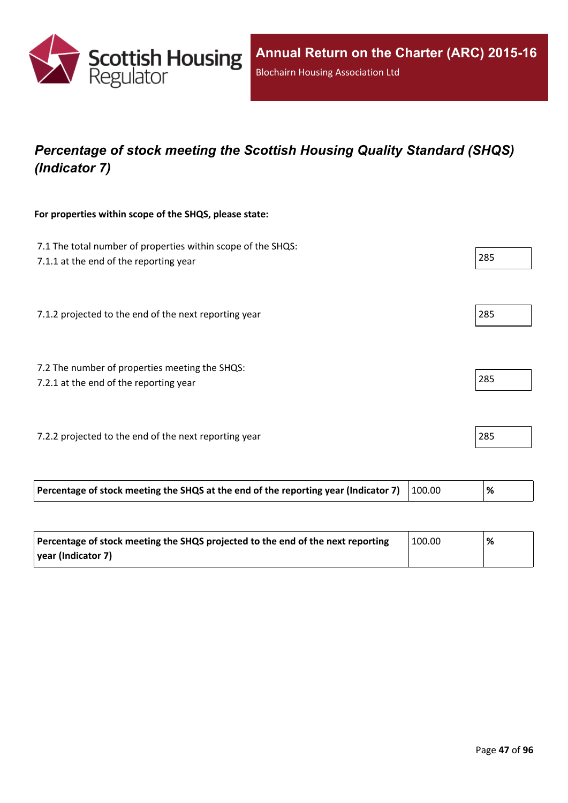

# *Percentage of stock meeting the Scottish Housing Quality Standard (SHQS) (Indicator 7)*

#### **For properties within scope of the SHQS, please state:**

| 7.1 The total number of properties within scope of the SHQS:<br>7.1.1 at the end of the reporting year |        | 285  |
|--------------------------------------------------------------------------------------------------------|--------|------|
| 7.1.2 projected to the end of the next reporting year                                                  |        | 285  |
| 7.2 The number of properties meeting the SHQS:<br>7.2.1 at the end of the reporting year               |        | 285  |
| 7.2.2 projected to the end of the next reporting year                                                  |        | 285  |
| Percentage of stock meeting the SHQS at the end of the reporting year (Indicator 7)                    | 100.00 | $\%$ |

| Percentage of stock meeting the SHQS projected to the end of the next reporting | 100.00 | % |
|---------------------------------------------------------------------------------|--------|---|
| vear (Indicator 7)                                                              |        |   |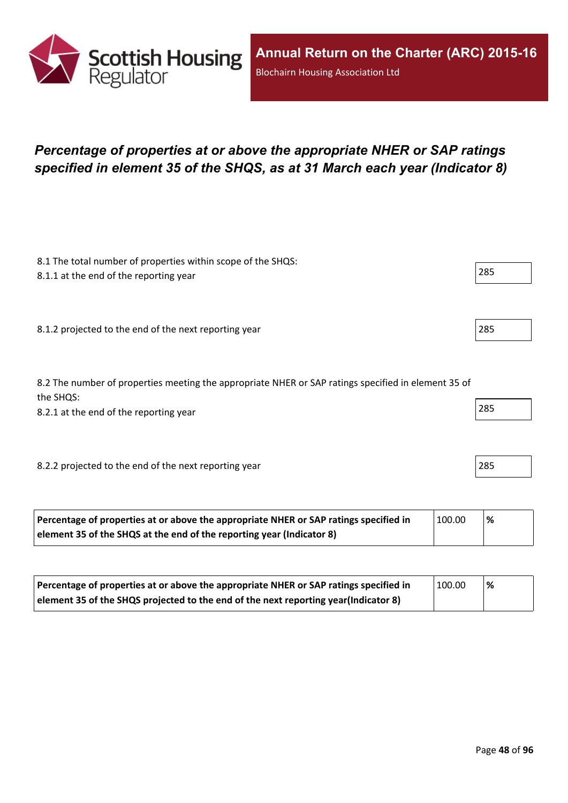

## *Percentage of properties at or above the appropriate NHER or SAP ratings specified in element 35 of the SHQS, as at 31 March each year (Indicator 8)*

| 8.1 The total number of properties within scope of the SHQS:<br>8.1.1 at the end of the reporting year           | 285 |
|------------------------------------------------------------------------------------------------------------------|-----|
|                                                                                                                  |     |
| 8.1.2 projected to the end of the next reporting year                                                            | 285 |
|                                                                                                                  |     |
| 8.2 The number of properties meeting the appropriate NHER or SAP ratings specified in element 35 of<br>the SHQS: |     |
| 8.2.1 at the end of the reporting year                                                                           | 285 |
|                                                                                                                  |     |
| 8.2.2 projected to the end of the next reporting year                                                            | 285 |
|                                                                                                                  |     |

| Percentage of properties at or above the appropriate NHER or SAP ratings specified in | 100.00 | '% |
|---------------------------------------------------------------------------------------|--------|----|
| element 35 of the SHQS at the end of the reporting year (Indicator 8)                 |        |    |

| Percentage of properties at or above the appropriate NHER or SAP ratings specified in | 100.00 | % |
|---------------------------------------------------------------------------------------|--------|---|
| element 35 of the SHQS projected to the end of the next reporting year(Indicator 8)   |        |   |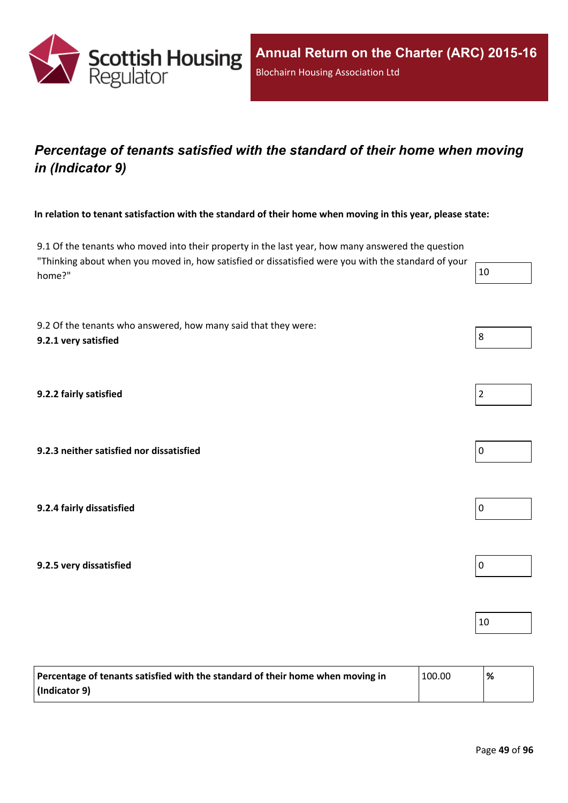

## *Percentage of tenants satisfied with the standard of their home when moving in (Indicator 9)*

In relation to tenant satisfaction with the standard of their home when moving in this year, please state:

9.1 Of the tenants who moved into their property in the last year, how many answered the question "Thinking about when you moved in, how satisfied or dissatisfied were you with the standard of your home?"  $10$ 

9.2 Of the tenants who answered, how many said that they were: **9.2.1 very satisfied** 8

**9.2.2 fairly satisfied** 2

**9.2.3 neither satisfied nor dissatisfied** 0

**9.2.4 fairly dissatisfied** 0

**9.2.5 very dissatisfied** 0

| Percentage of tenants satisfied with the standard of their home when moving in | 100.00 | % |
|--------------------------------------------------------------------------------|--------|---|
| $ $ (Indicator 9)                                                              |        |   |

10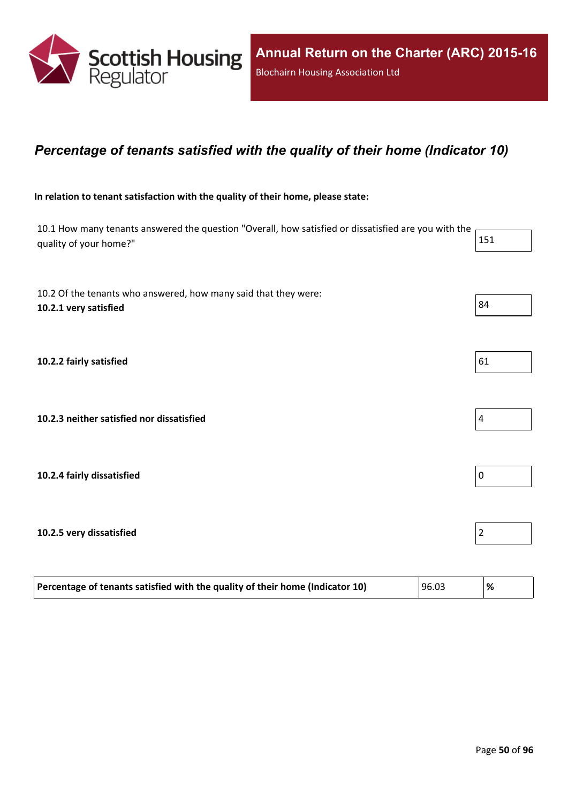

### *Percentage of tenants satisfied with the quality of their home (Indicator 10)*

#### **In relation to tenant satisfaction with the quality of their home, please state:**

10.1 How many tenants answered the question "Overall, how satisfied or dissatisfied are you with the quality of your home?" 151

| 10.2 Of the tenants who answered, how many said that they were:<br>10.2.1 very satisfied | 84             |
|------------------------------------------------------------------------------------------|----------------|
|                                                                                          |                |
| 10.2.2 fairly satisfied                                                                  | 61             |
|                                                                                          |                |
| 10.2.3 neither satisfied nor dissatisfied                                                | 4              |
|                                                                                          |                |
| 10.2.4 fairly dissatisfied                                                               | 0              |
| 10.2.5 very dissatisfied                                                                 | $\overline{c}$ |

| Percentage of tenants satisfied with the quality of their home (Indicator 10) | 96.03 |  |
|-------------------------------------------------------------------------------|-------|--|
|                                                                               |       |  |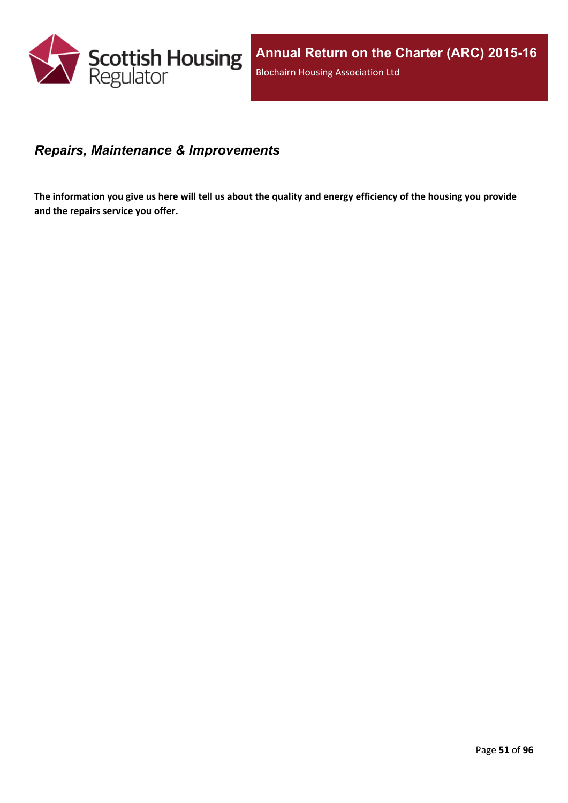

### *Repairs, Maintenance & Improvements*

The information you give us here will tell us about the quality and energy efficiency of the housing you provide **and the repairs service you offer.**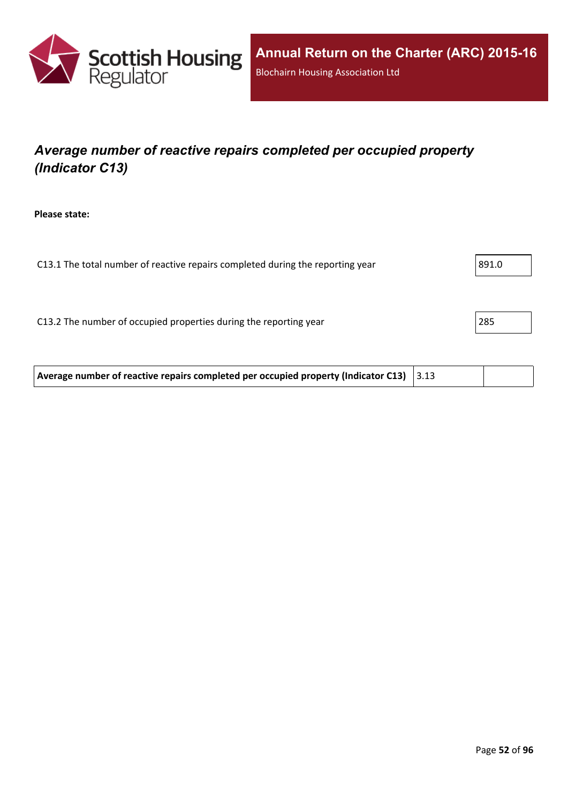

# *Average number of reactive repairs completed per occupied property (Indicator C13)*

**Please state:**

| C13.1 The total number of reactive repairs completed during the reporting year | 891.0 |
|--------------------------------------------------------------------------------|-------|
|                                                                                |       |
|                                                                                |       |
| C13.2 The number of occupied properties during the reporting year              | 285   |
|                                                                                |       |

**Average number of reactive repairs completed per occupied property (Indicator C13)** 3.13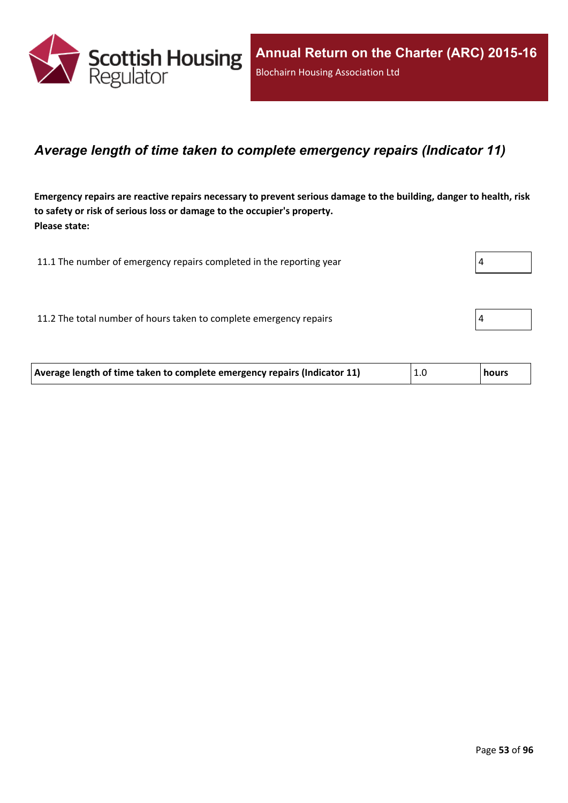

### *Average length of time taken to complete emergency repairs (Indicator 11)*

Emergency repairs are reactive repairs necessary to prevent serious damage to the building, danger to health, risk **to safety or risk of serious loss or damage to the occupier's property. Please state:**

| 11.1 The number of emergency repairs completed in the reporting year |  |
|----------------------------------------------------------------------|--|
|                                                                      |  |
| 11.2 The total number of hours taken to complete emergency repairs   |  |
|                                                                      |  |

| Average length of time taken to complete emergency repairs (Indicator 11) | 1.0 | hours <b>h</b> |
|---------------------------------------------------------------------------|-----|----------------|
|                                                                           |     |                |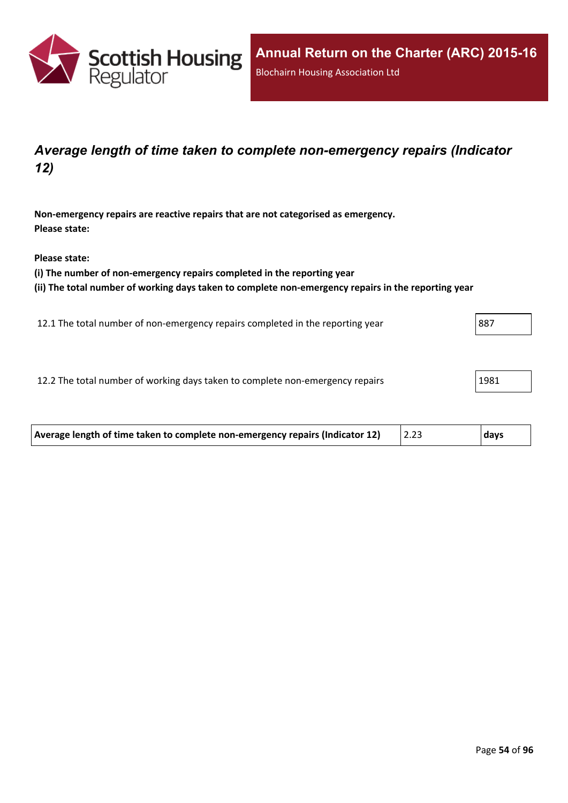

## *Average length of time taken to complete non-emergency repairs (Indicator 12)*

**Non-emergency repairs are reactive repairs that are not categorised as emergency. Please state:**

**Please state:**

**(i) The number of non-emergency repairs completed in the reporting year**

**(ii) The total number of working days taken to complete non-emergency repairs in the reporting year**

12.1 The total number of non-emergency repairs completed in the reporting year 887

12.2 The total number of working days taken to complete non-emergency repairs 1981

| Average length of time taken to complete non-emergency repairs (Indicator 12) | days |
|-------------------------------------------------------------------------------|------|
|                                                                               |      |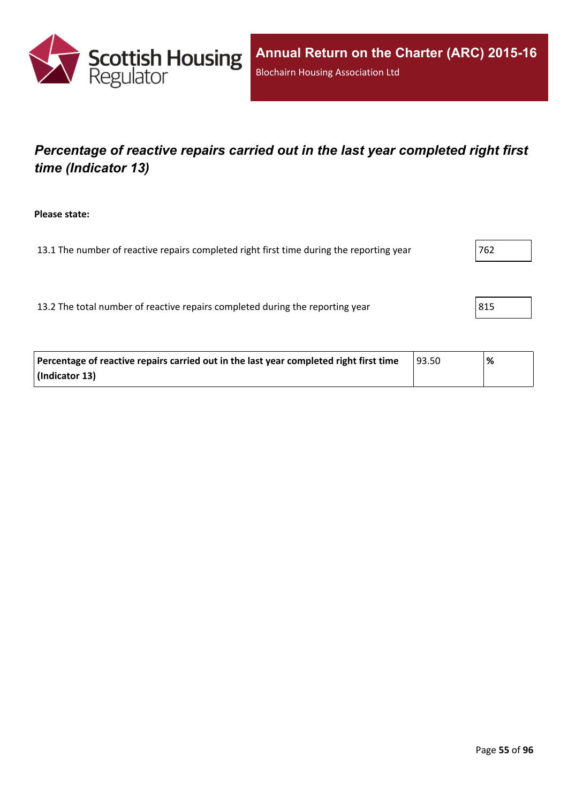

# *Percentage of reactive repairs carried out in the last year completed right first time (Indicator 13)*

**Please state:**

13.1 The number of reactive repairs completed right first time during the reporting year  $1762$ 

13.2 The total number of reactive repairs completed during the reporting year 815

| Percentage of reactive repairs carried out in the last year completed right first time | 93.50 | '% |
|----------------------------------------------------------------------------------------|-------|----|
| (Indicator 13)                                                                         |       |    |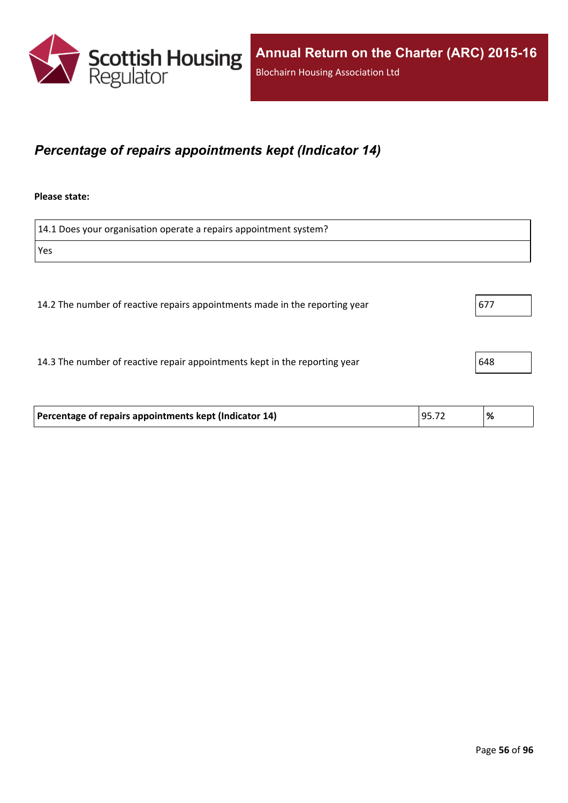

### *Percentage of repairs appointments kept (Indicator 14)*

#### **Please state:**

14.1 Does your organisation operate a repairs appointment system? Yes 14.2 The number of reactive repairs appointments made in the reporting year  $\vert$  677 14.3 The number of reactive repair appointments kept in the reporting year  $\vert$  648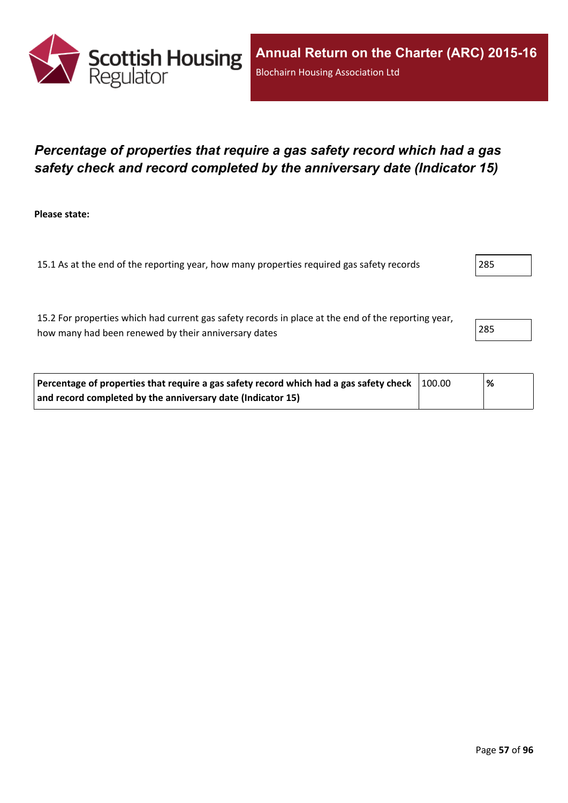

### *Percentage of properties that require a gas safety record which had a gas safety check and record completed by the anniversary date (Indicator 15)*

**Please state:**

15.1 As at the end of the reporting year, how many properties required gas safety records 285

15.2 For properties which had current gas safety records in place at the end of the reporting year, how many had been renewed by their anniversary dates 285

| Percentage of properties that require a gas safety record which had a gas safety check 100.00 | '% |
|-----------------------------------------------------------------------------------------------|----|
| and record completed by the anniversary date (Indicator 15)                                   |    |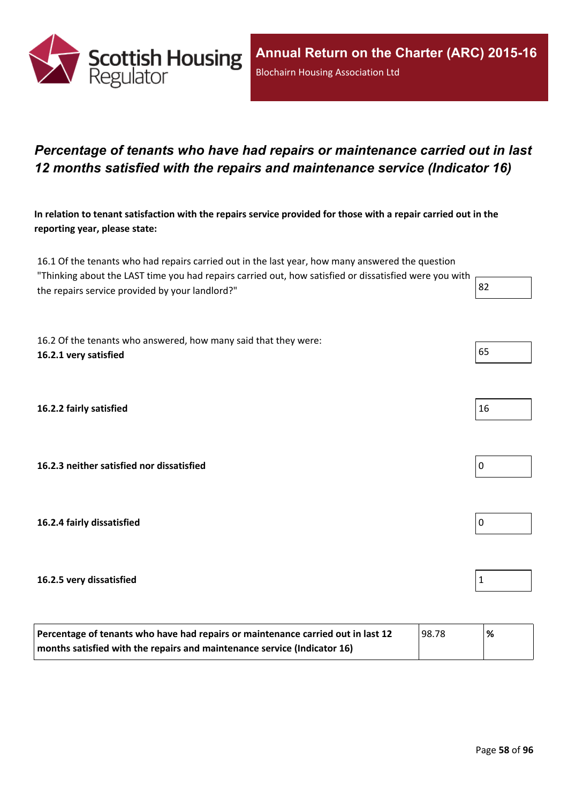

## *Percentage of tenants who have had repairs or maintenance carried out in last 12 months satisfied with the repairs and maintenance service (Indicator 16)*

In relation to tenant satisfaction with the repairs service provided for those with a repair carried out in the **reporting year, please state:**

16.1 Of the tenants who had repairs carried out in the last year, how many answered the question "Thinking about the LAST time you had repairs carried out, how satisfied or dissatisfied were you with the repairs service provided by your landlord?"  $\begin{array}{|l|l|} \hline \end{array}$  82

16.2 Of the tenants who answered, how many said that they were: **16.2.1 very satisfied** 65

**16.2.2 fairly satisfied** 16

**16.2.3 neither satisfied nor dissatisfied** 0

**16.2.4 fairly dissatisfied** 0

#### **16.2.5 very dissatisfied** 1

| Percentage of tenants who have had repairs or maintenance carried out in last 12 | 98.78 | % |
|----------------------------------------------------------------------------------|-------|---|
| months satisfied with the repairs and maintenance service (Indicator 16)         |       |   |

| 16 |  |  |
|----|--|--|

| I<br>O |  |  |
|--------|--|--|
|        |  |  |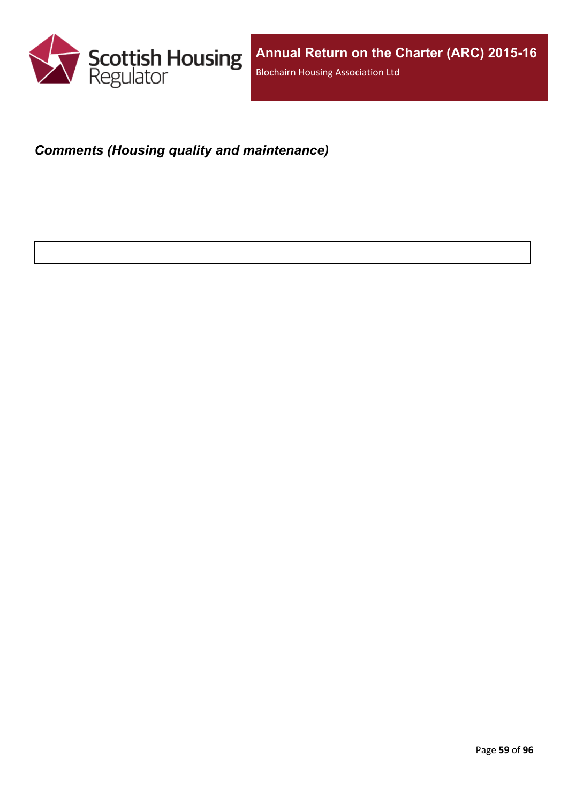

# *Comments (Housing quality and maintenance)*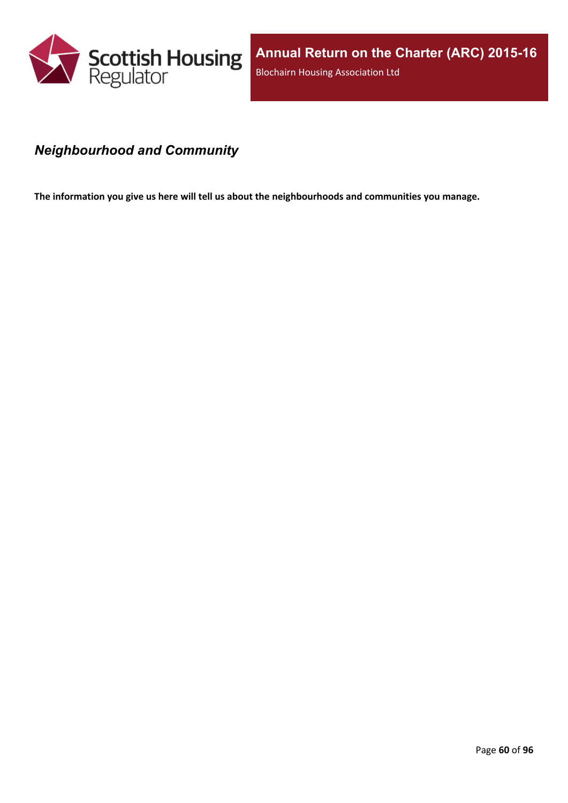

### *Neighbourhood and Community*

**The information you give us here will tell us about the neighbourhoods and communities you manage.**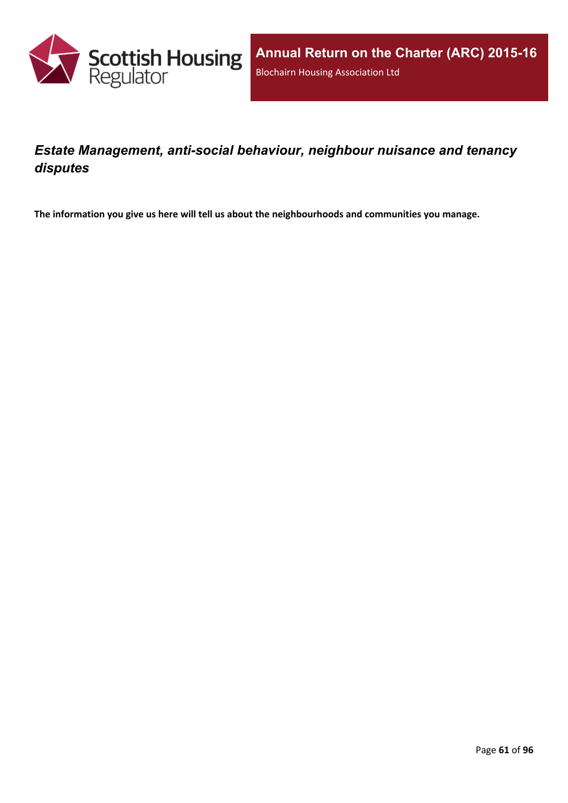

## *Estate Management, anti-social behaviour, neighbour nuisance and tenancy disputes*

**The information you give us here will tell us about the neighbourhoods and communities you manage.**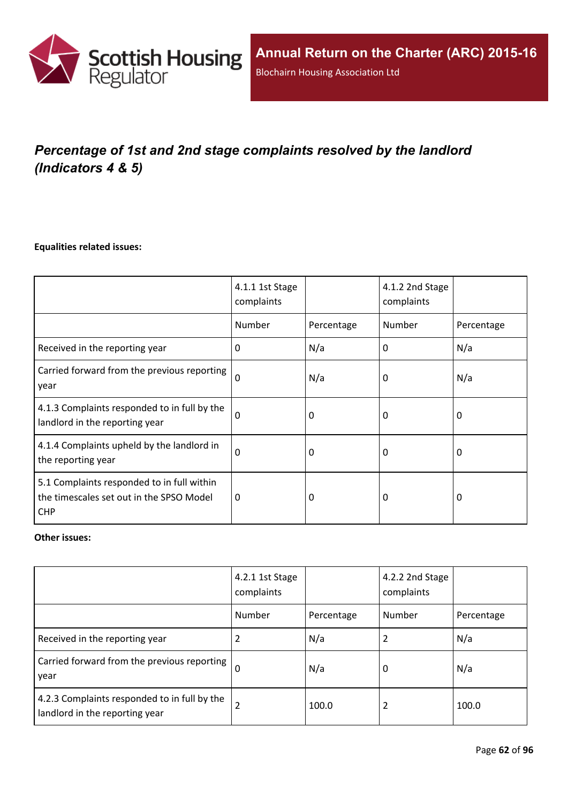

# *Percentage of 1st and 2nd stage complaints resolved by the landlord (Indicators 4 & 5)*

#### **Equalities related issues:**

|                                                                                                      | 4.1.1 1st Stage<br>complaints |            | 4.1.2 2nd Stage<br>complaints |            |
|------------------------------------------------------------------------------------------------------|-------------------------------|------------|-------------------------------|------------|
|                                                                                                      | Number                        | Percentage | Number                        | Percentage |
| Received in the reporting year                                                                       | $\Omega$                      | N/a        | 0                             | N/a        |
| Carried forward from the previous reporting<br>year                                                  | $\Omega$                      | N/a        | 0                             | N/a        |
| 4.1.3 Complaints responded to in full by the<br>landlord in the reporting year                       | $\Omega$                      | 0          | 0                             | 0          |
| 4.1.4 Complaints upheld by the landlord in<br>the reporting year                                     | 0                             | 0          | 0                             | 0          |
| 5.1 Complaints responded to in full within<br>the timescales set out in the SPSO Model<br><b>CHP</b> | $\Omega$                      | 0          | 0                             | $\Omega$   |

#### **Other issues:**

|                                                                                | 4.2.1 1st Stage<br>complaints |            | 4.2.2 2nd Stage<br>complaints |            |
|--------------------------------------------------------------------------------|-------------------------------|------------|-------------------------------|------------|
|                                                                                | Number                        | Percentage | Number                        | Percentage |
| Received in the reporting year                                                 | 2                             | N/a        |                               | N/a        |
| Carried forward from the previous reporting  <br>year                          | $\Omega$                      | N/a        | 0                             | N/a        |
| 4.2.3 Complaints responded to in full by the<br>landlord in the reporting year | $\overline{2}$                | 100.0      | 2                             | 100.0      |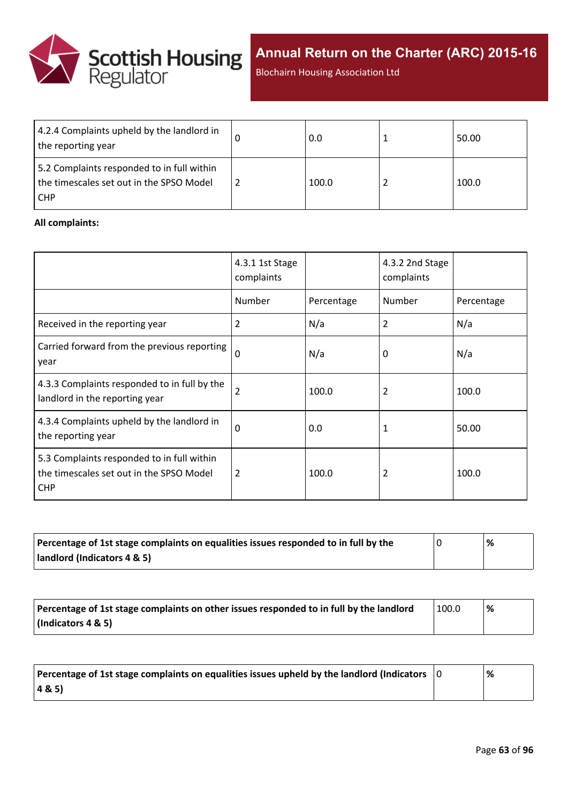

**Annual Return on the Charter (ARC) 2015-16**

Blochairn Housing Association Ltd

| 4.2.4 Complaints upheld by the landlord in<br>the reporting year                                     | 0.0   | 50.00 |
|------------------------------------------------------------------------------------------------------|-------|-------|
| 5.2 Complaints responded to in full within<br>the timescales set out in the SPSO Model<br><b>CHP</b> | 100.0 | 100.0 |

#### **All complaints:**

|                                                                                                      | 4.3.1 1st Stage<br>complaints |            | 4.3.2 2nd Stage<br>complaints |            |
|------------------------------------------------------------------------------------------------------|-------------------------------|------------|-------------------------------|------------|
|                                                                                                      | Number                        | Percentage | Number                        | Percentage |
| Received in the reporting year                                                                       | 2                             | N/a        | 2                             | N/a        |
| Carried forward from the previous reporting<br>year                                                  | $\mathbf 0$                   | N/a        | 0                             | N/a        |
| 4.3.3 Complaints responded to in full by the<br>landlord in the reporting year                       | 2                             | 100.0      | 2                             | 100.0      |
| 4.3.4 Complaints upheld by the landlord in<br>the reporting year                                     | $\Omega$                      | 0.0        | 1                             | 50.00      |
| 5.3 Complaints responded to in full within<br>the timescales set out in the SPSO Model<br><b>CHP</b> | 2                             | 100.0      | 2                             | 100.0      |

| Percentage of 1st stage complaints on equalities issues responded to in full by the | % |
|-------------------------------------------------------------------------------------|---|
| landlord (Indicators 4 & 5)                                                         |   |

| Percentage of 1st stage complaints on other issues responded to in full by the landlord | 100.0 | ℅ |
|-----------------------------------------------------------------------------------------|-------|---|
| (Indicators 4 & 5)                                                                      |       |   |

| Percentage of 1st stage complaints on equalities issues upheld by the landlord (Indicators $\vert$ 0 | % |
|------------------------------------------------------------------------------------------------------|---|
| (48.5)                                                                                               |   |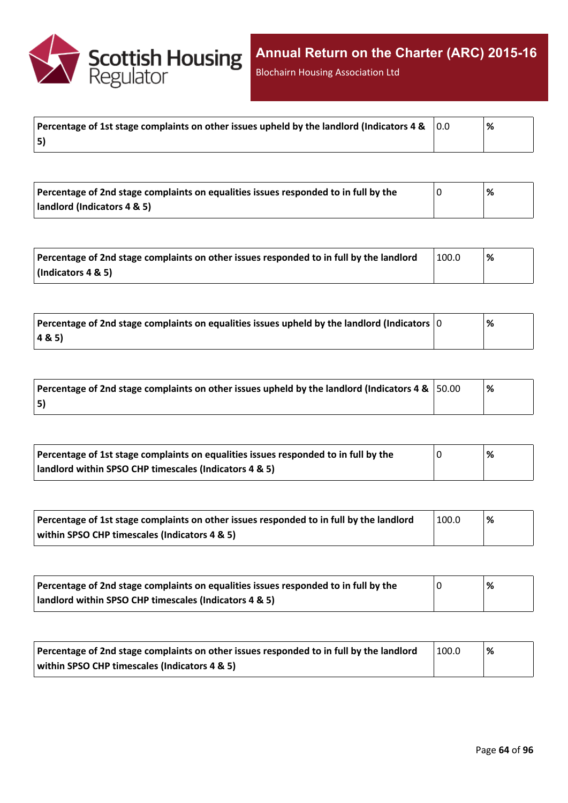

Blochairn Housing Association Ltd

|    | % |
|----|---|
| 5) |   |

| Percentage of 2nd stage complaints on equalities issues responded to in full by the | '% |  |
|-------------------------------------------------------------------------------------|----|--|
| landlord (Indicators 4 & 5)                                                         |    |  |

| Percentage of 2nd stage complaints on other issues responded to in full by the landlord | 100.0 | % |
|-----------------------------------------------------------------------------------------|-------|---|
| $\vert$ (Indicators 4 & 5)                                                              |       |   |

| $\mid$ Percentage of 2nd stage complaints on equalities issues upheld by the landlord (Indicators $\mid$ 0 | % |
|------------------------------------------------------------------------------------------------------------|---|
| 4&5)                                                                                                       |   |

| Percentage of 2nd stage complaints on other issues upheld by the landlord (Indicators 4 & $\vert$ 50.00 | '% |
|---------------------------------------------------------------------------------------------------------|----|
| 5)                                                                                                      |    |

| Percentage of 1st stage complaints on equalities issues responded to in full by the | % |
|-------------------------------------------------------------------------------------|---|
| landlord within SPSO CHP timescales (Indicators 4 & 5)                              |   |

| Percentage of 1st stage complaints on other issues responded to in full by the landlord | 100.0 | '% |
|-----------------------------------------------------------------------------------------|-------|----|
| within SPSO CHP timescales (Indicators 4 & 5)                                           |       |    |

| Percentage of 2nd stage complaints on equalities issues responded to in full by the | '% |
|-------------------------------------------------------------------------------------|----|
| landlord within SPSO CHP timescales (Indicators 4 & 5)                              |    |

| Percentage of 2nd stage complaints on other issues responded to in full by the landlord | 100.0 | <u>%</u> |
|-----------------------------------------------------------------------------------------|-------|----------|
| within SPSO CHP timescales (Indicators 4 & 5)                                           |       |          |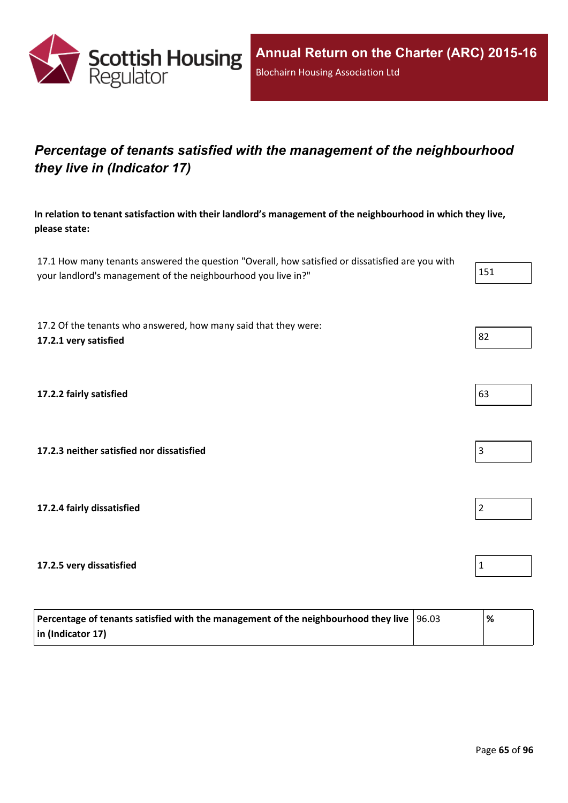

# *Percentage of tenants satisfied with the management of the neighbourhood they live in (Indicator 17)*

**In relation to tenant satisfaction with their landlord's management of the neighbourhood in which they live, please state:**

17.1 How many tenants answered the question "Overall, how satisfied or dissatisfied are you with your landlord's management of the neighbourhood you live in?" 151

17.2 Of the tenants who answered, how many said that they were: **17.2.1 very satisfied** 82

**17.2.2 fairly satisfied** 63

**17.2.3 neither satisfied nor dissatisfied** 3

**17.2.4 fairly dissatisfied** 2

**17.2.5 very dissatisfied** 1

| Percentage of tenants satisfied with the management of the neighbourhood they live $ 96.03\rangle$ | '% |
|----------------------------------------------------------------------------------------------------|----|
| $\vert$ in (Indicator 17)                                                                          |    |

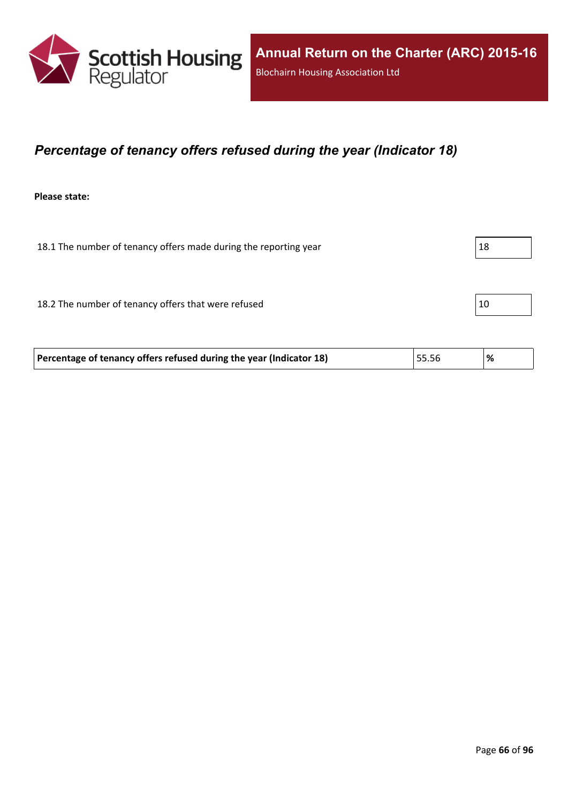

### *Percentage of tenancy offers refused during the year (Indicator 18)*

**Please state:**

18.1 The number of tenancy offers made during the reporting year  $|18$ 

18.2 The number of tenancy offers that were refused 10

|  | Percentage of tenancy offers refused during the year (Indicator 18) | 55.56 |  |
|--|---------------------------------------------------------------------|-------|--|
|--|---------------------------------------------------------------------|-------|--|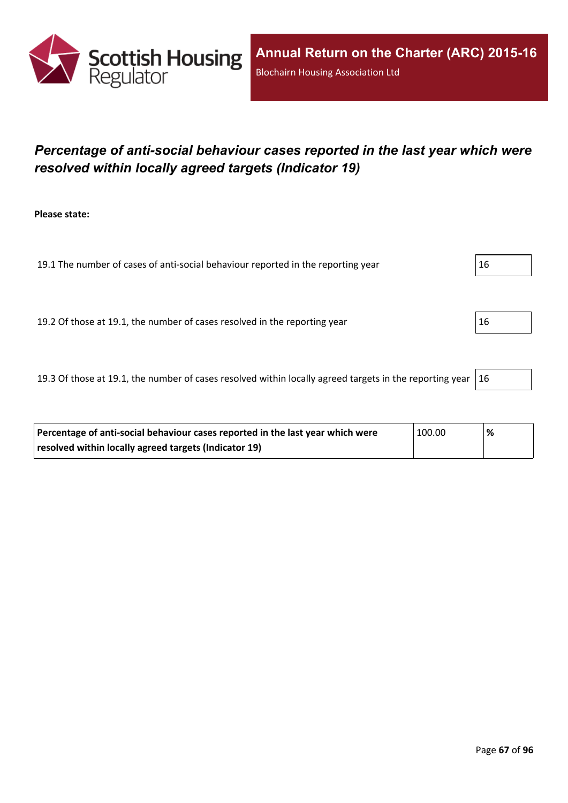

# *Percentage of anti-social behaviour cases reported in the last year which were resolved within locally agreed targets (Indicator 19)*

**Please state:**

19.1 The number of cases of anti-social behaviour reported in the reporting year  $16$ 

19.2 Of those at 19.1, the number of cases resolved in the reporting year 16

19.3 Of those at 19.1, the number of cases resolved within locally agreed targets in the reporting year  $|16$ 

| Percentage of anti-social behaviour cases reported in the last year which were | $\pm 100.00$ | % |
|--------------------------------------------------------------------------------|--------------|---|
| resolved within locally agreed targets (Indicator 19)                          |              |   |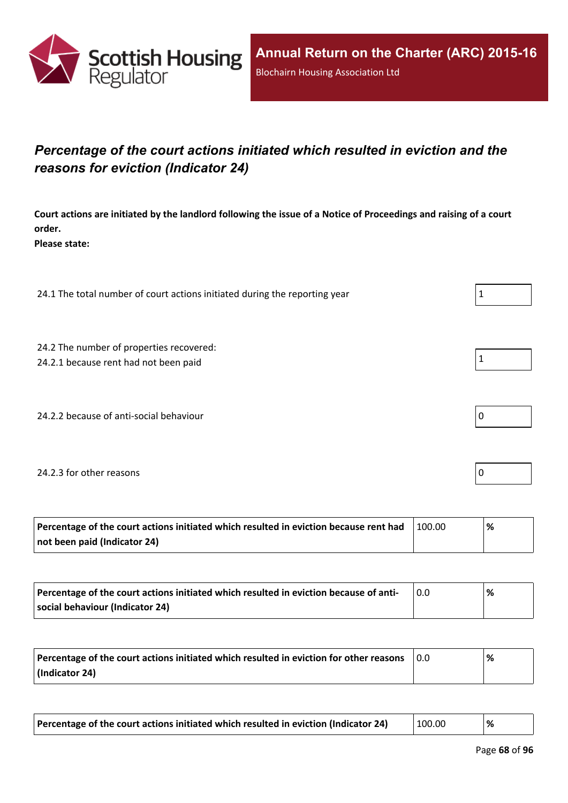

# *Percentage of the court actions initiated which resulted in eviction and the reasons for eviction (Indicator 24)*

Court actions are initiated by the landlord following the issue of a Notice of Proceedings and raising of a court **order.**

**Please state:**

24.1 The total number of court actions initiated during the reporting year  $1 \tbinom{1}{1}$ 

- 24.2 The number of properties recovered:
- 24.2.1 because rent had not been paid  $\vert 1 \vert$
- 24.2.2 because of anti-social behaviour  $\vert 0 \rangle$

#### 24.2.3 for other reasons  $\vert$  0

| Percentage of the court actions initiated which resulted in eviction because rent had | 100.00 | ℅ |
|---------------------------------------------------------------------------------------|--------|---|
| not been paid (Indicator 24)                                                          |        |   |

| Percentage of the court actions initiated which resulted in eviction because of anti- | % |
|---------------------------------------------------------------------------------------|---|
| social behaviour (Indicator 24)                                                       |   |

| Percentage of the court actions initiated which resulted in eviction for other reasons | 0.0 | % |
|----------------------------------------------------------------------------------------|-----|---|
| (Indicator 24)                                                                         |     |   |

| Percentage of the court actions initiated which resulted in eviction (Indicator 24) | 100.00 | % |
|-------------------------------------------------------------------------------------|--------|---|
|-------------------------------------------------------------------------------------|--------|---|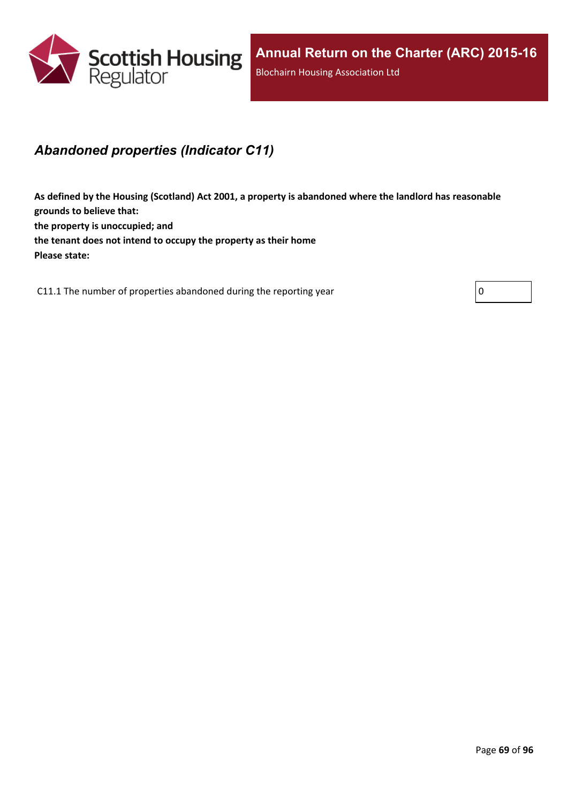

## *Abandoned properties (Indicator C11)*

**As defined by the Housing (Scotland) Act 2001, a property is abandoned where the landlord has reasonable grounds to believe that: the property is unoccupied; and the tenant does not intend to occupy the property as their home Please state:**

C11.1 The number of properties abandoned during the reporting year  $\vert 0 \vert$ 

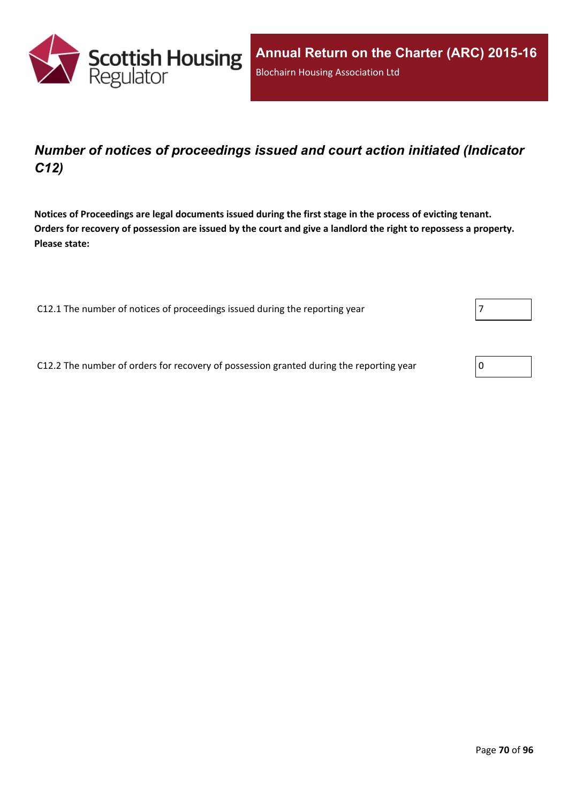

## *Number of notices of proceedings issued and court action initiated (Indicator C12)*

Notices of Proceedings are legal documents issued during the first stage in the process of evicting tenant. Orders for recovery of possession are issued by the court and give a landlord the right to repossess a property. **Please state:**

C12.1 The number of notices of proceedings issued during the reporting year

C12.2 The number of orders for recovery of possession granted during the reporting year

| O |
|---|
|---|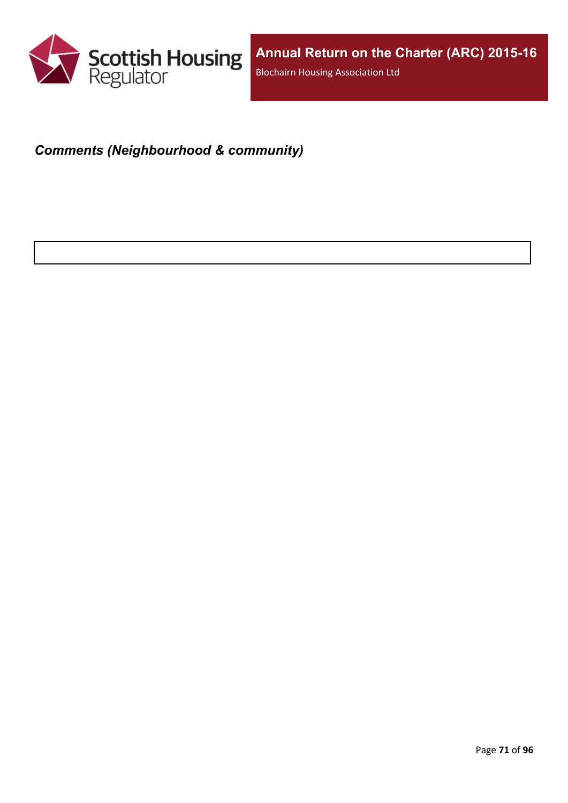

# *Comments (Neighbourhood & community)*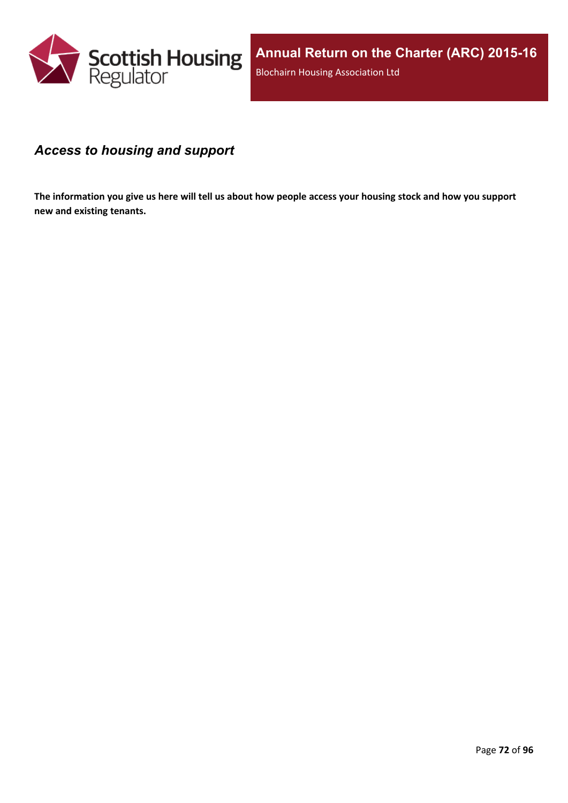

### *Access to housing and support*

The information you give us here will tell us about how people access your housing stock and how you support **new and existing tenants.**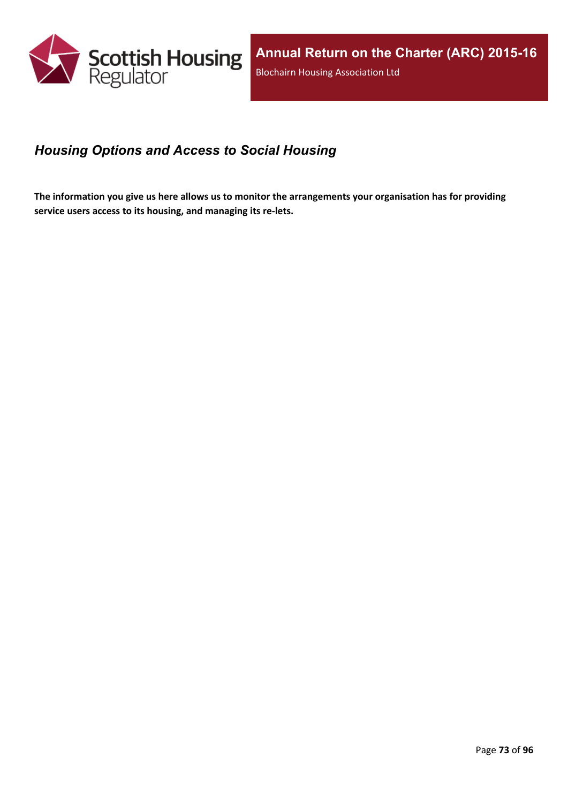

## *Housing Options and Access to Social Housing*

The information you give us here allows us to monitor the arrangements your organisation has for providing **service users access to its housing, and managing its re-lets.**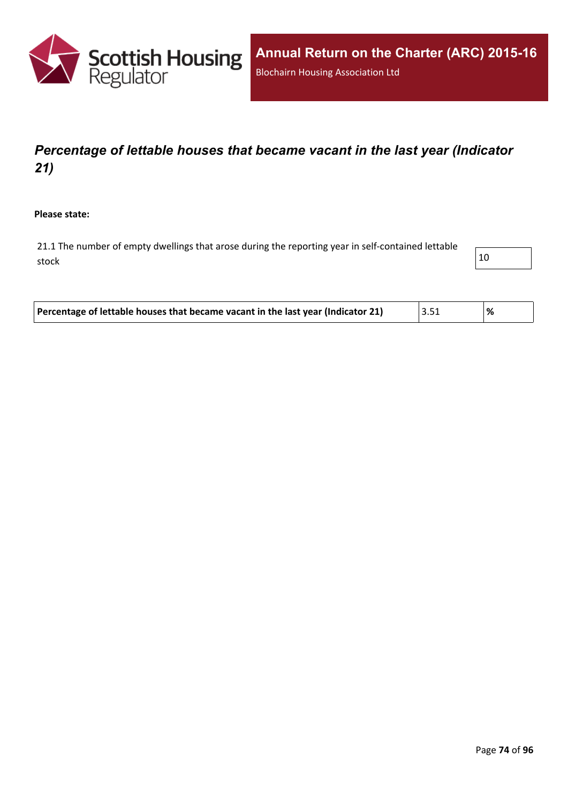

# *Percentage of lettable houses that became vacant in the last year (Indicator 21)*

**Please state:**

21.1 The number of empty dwellings that arose during the reporting year in self-contained lettable stock and the stock of  $\vert$  10

| Percentage of lettable houses that became vacant in the last year (Indicator 21) | $^{\dagger}$ 3.51 |  |
|----------------------------------------------------------------------------------|-------------------|--|
|----------------------------------------------------------------------------------|-------------------|--|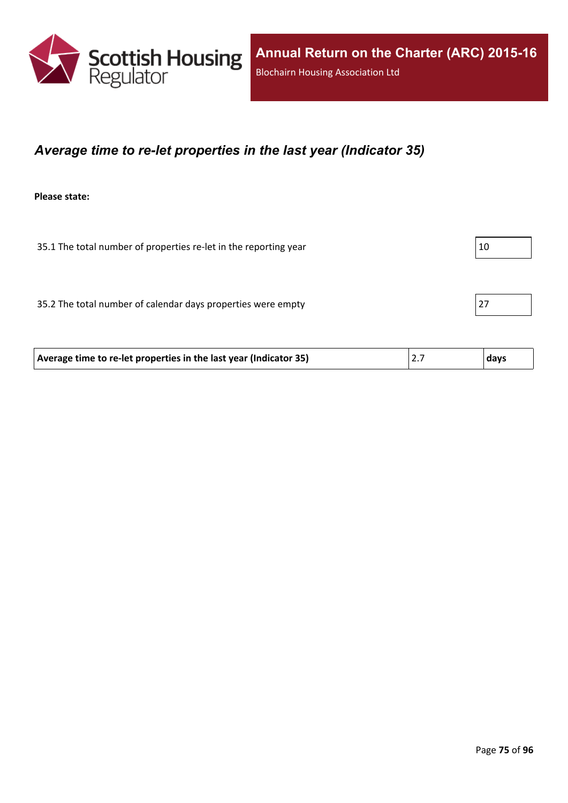

### *Average time to re-let properties in the last year (Indicator 35)*

**Please state:**

| 35.1 The total number of properties re-let in the reporting year  |     | 10   |
|-------------------------------------------------------------------|-----|------|
|                                                                   |     |      |
| 35.2 The total number of calendar days properties were empty      |     | 27   |
|                                                                   |     |      |
| Average time to re-let properties in the last year (Indicator 35) | 2.7 | days |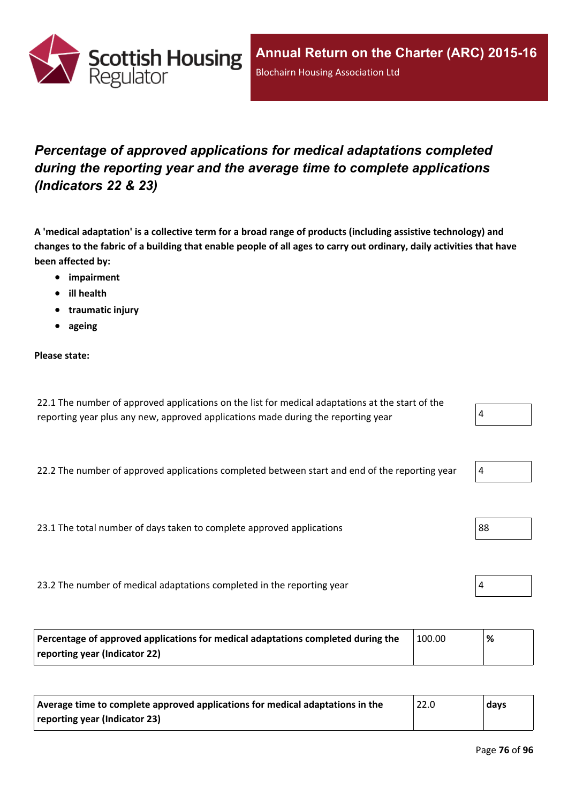

# *Percentage of approved applications for medical adaptations completed during the reporting year and the average time to complete applications (Indicators 22 & 23)*

A 'medical adaptation' is a collective term for a broad range of products (including assistive technology) and changes to the fabric of a building that enable people of all ages to carry out ordinary, daily activities that have **been affected by:**

- **impairment**
- **ill health**
- **traumatic injury**
- **ageing**

#### **Please state:**

22.1 The number of approved applications on the list for medical adaptations at the start of the reporting year plus any new, approved applications made during the reporting year  $4 \frac{4}{3}$ 

22.2 The number of approved applications completed between start and end of the reporting year

23.1 The total number of days taken to complete approved applications  $\vert$ 88

23.2 The number of medical adaptations completed in the reporting year

| Percentage of approved applications for medical adaptations completed during the | 100.00 | % |
|----------------------------------------------------------------------------------|--------|---|
| reporting year (Indicator 22)                                                    |        |   |

| Average time to complete approved applications for medical adaptations in the | 22.0 | days |
|-------------------------------------------------------------------------------|------|------|
| reporting year (Indicator 23)                                                 |      |      |

| ч |  |  |
|---|--|--|
|   |  |  |



|--|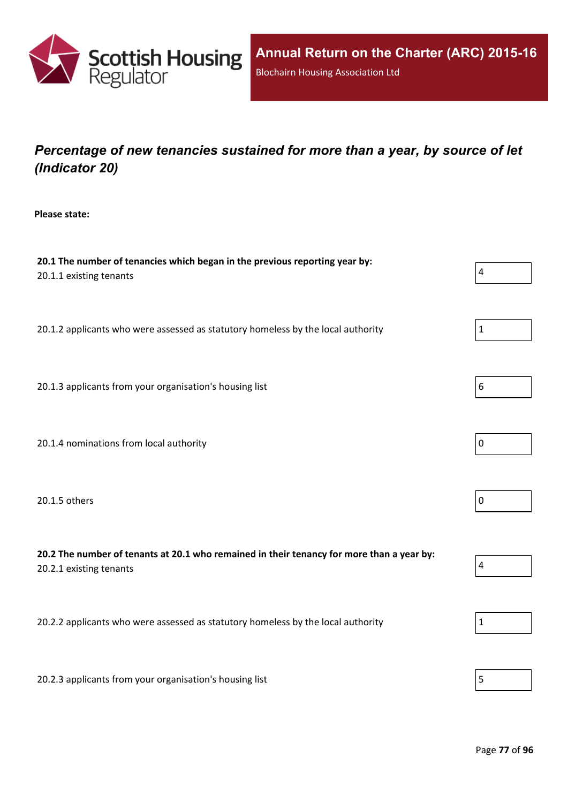

# *Percentage of new tenancies sustained for more than a year, by source of let (Indicator 20)*

**Please state:**

| 20.1 The number of tenancies which began in the previous reporting year by:<br>20.1.1 existing tenants               | $\overline{4}$ |
|----------------------------------------------------------------------------------------------------------------------|----------------|
| 20.1.2 applicants who were assessed as statutory homeless by the local authority                                     | $\mathbf 1$    |
| 20.1.3 applicants from your organisation's housing list                                                              | 6              |
| 20.1.4 nominations from local authority                                                                              | $\mathbf 0$    |
| 20.1.5 others                                                                                                        | $\mathbf 0$    |
| 20.2 The number of tenants at 20.1 who remained in their tenancy for more than a year by:<br>20.2.1 existing tenants | $\overline{4}$ |
| 20.2.2 applicants who were assessed as statutory homeless by the local authority                                     | $\mathbf{1}$   |
| 20.2.3 applicants from your organisation's housing list                                                              | 5              |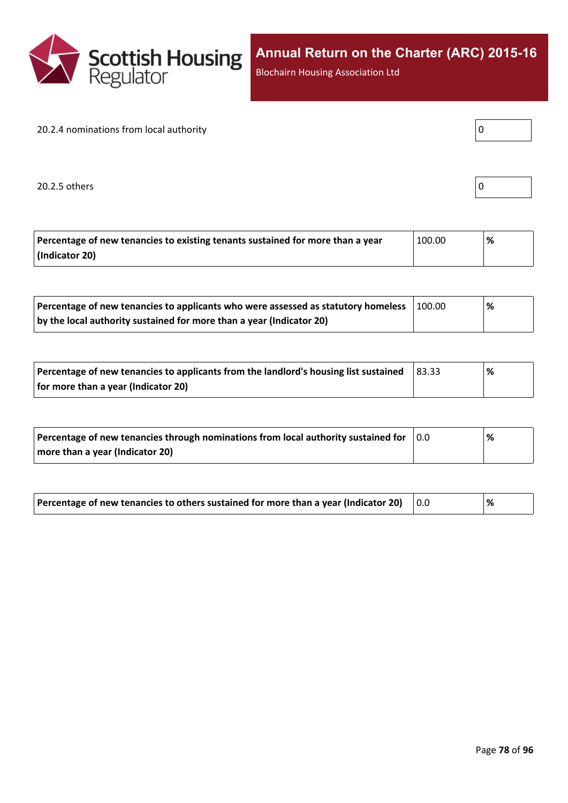

Blochairn Housing Association Ltd

#### 20.2.4 nominations from local authority

20.2.5 others

| Percentage of new tenancies to existing tenants sustained for more than a year | 100.00 | % |
|--------------------------------------------------------------------------------|--------|---|
| (Indicator 20)                                                                 |        |   |

| Percentage of new tenancies to applicants who were assessed as statutory homeless | 100.00 | '% |  |
|-----------------------------------------------------------------------------------|--------|----|--|
| by the local authority sustained for more than a year (Indicator 20)              |        |    |  |

| Percentage of new tenancies to applicants from the landlord's housing list sustained | 83.33 | % |
|--------------------------------------------------------------------------------------|-------|---|
| for more than a year (Indicator 20)                                                  |       |   |

| Percentage of new tenancies through nominations from local authority sustained for | 10.0 | % |
|------------------------------------------------------------------------------------|------|---|
| more than a year (Indicator 20)                                                    |      |   |

| Percentage of new tenancies to others sustained for more than a year (Indicator 20) $\,$ $\,$ $\,$ 0.0 $\,$ |  | ℅ |
|-------------------------------------------------------------------------------------------------------------|--|---|
|-------------------------------------------------------------------------------------------------------------|--|---|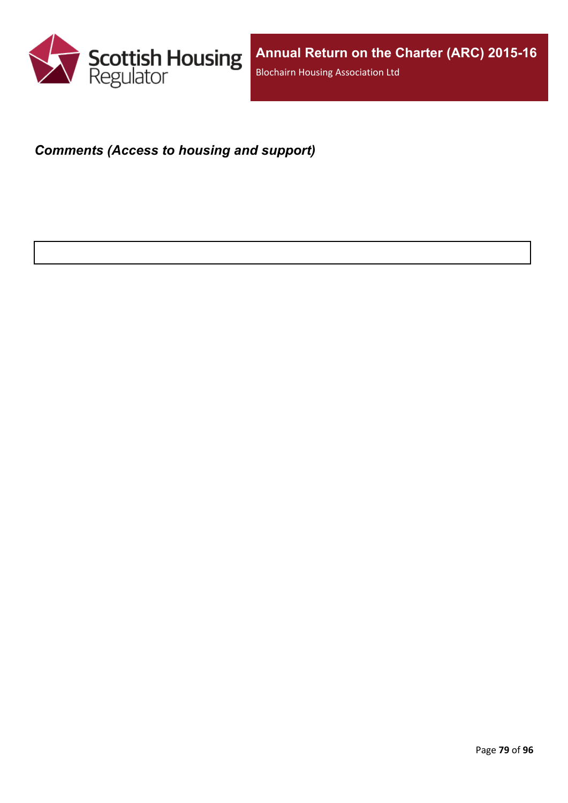

### *Comments (Access to housing and support)*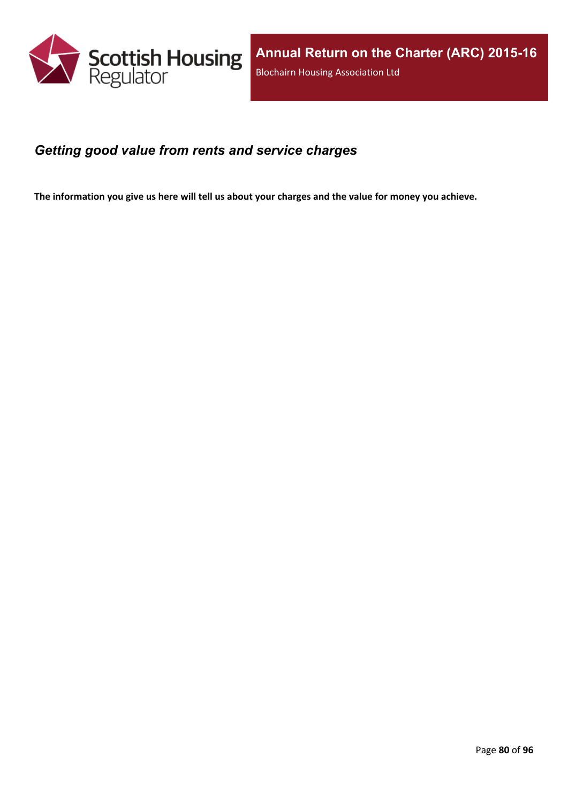

### *Getting good value from rents and service charges*

The information you give us here will tell us about your charges and the value for money you achieve.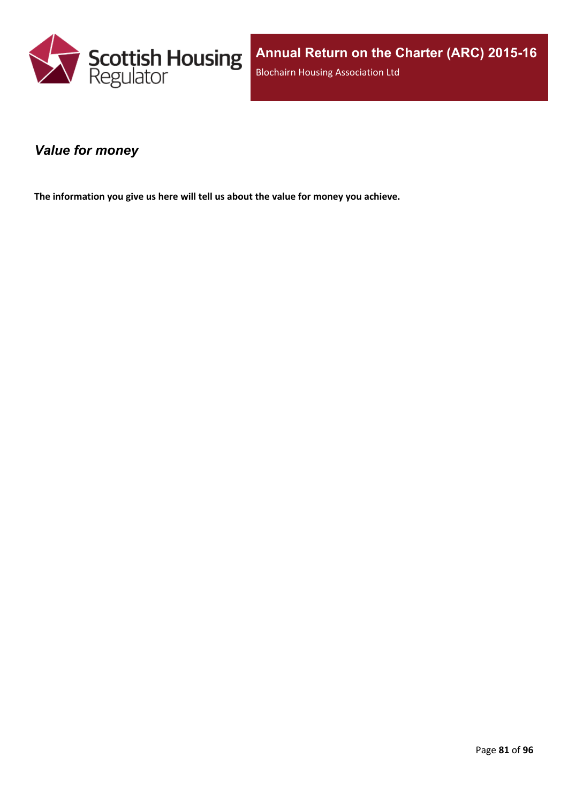

### *Value for money*

**The information you give us here will tell us about the value for money you achieve.**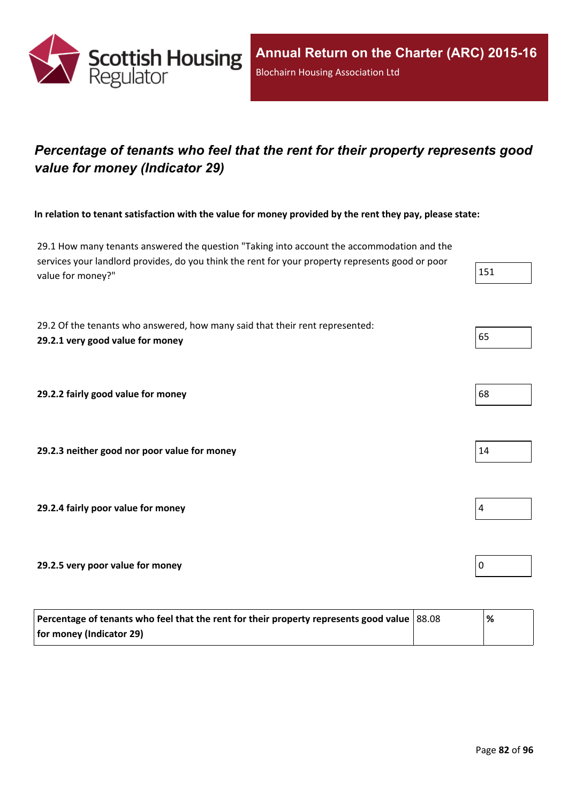

# *Percentage of tenants who feel that the rent for their property represents good value for money (Indicator 29)*

In relation to tenant satisfaction with the value for money provided by the rent they pay, please state:

29.1 How many tenants answered the question "Taking into account the accommodation and the services your landlord provides, do you think the rent for your property represents good or poor value for money?"

29.2 Of the tenants who answered, how many said that their rent represented: **29.2.1 very good value for money** 65

**29.2.2 fairly good value for money** 68

**29.2.3 neither good nor poor value for money** 14

**29.2.4 fairly poor value for money** 4

**29.2.5 very poor value for money** 0

| Percentage of tenants who feel that the rent for their property represents good value $ 88.08 $ | % |
|-------------------------------------------------------------------------------------------------|---|
| for money (Indicator 29)                                                                        |   |



| 4 |  |  |  |
|---|--|--|--|
|   |  |  |  |

|--|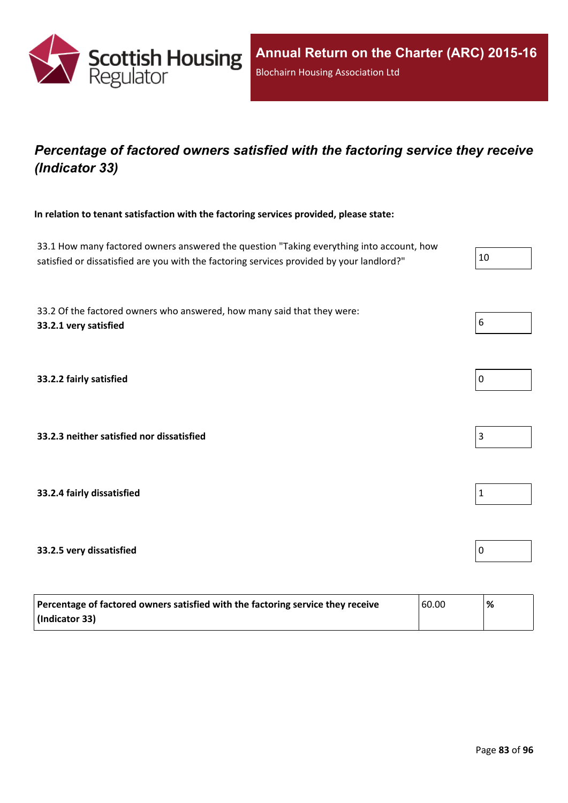

## *Percentage of factored owners satisfied with the factoring service they receive (Indicator 33)*

**In relation to tenant satisfaction with the factoring services provided, please state:**

33.1 How many factored owners answered the question "Taking everything into account, how satisfied or dissatisfied are you with the factoring services provided by your landlord?"  $10$ 

33.2 Of the factored owners who answered, how many said that they were: **33.2.1 very satisfied** 6

**33.2.2 fairly satisfied** 0

**33.2.3 neither satisfied nor dissatisfied** 3

**33.2.4 fairly dissatisfied** 1

### **33.2.5 very dissatisfied** 0

| Percentage of factored owners satisfied with the factoring service they receive | 60.00 | % |
|---------------------------------------------------------------------------------|-------|---|
| (Indicator 33)                                                                  |       |   |

| υ |  |  |
|---|--|--|
|   |  |  |



| 0 |  |  |  |
|---|--|--|--|
|   |  |  |  |



|--|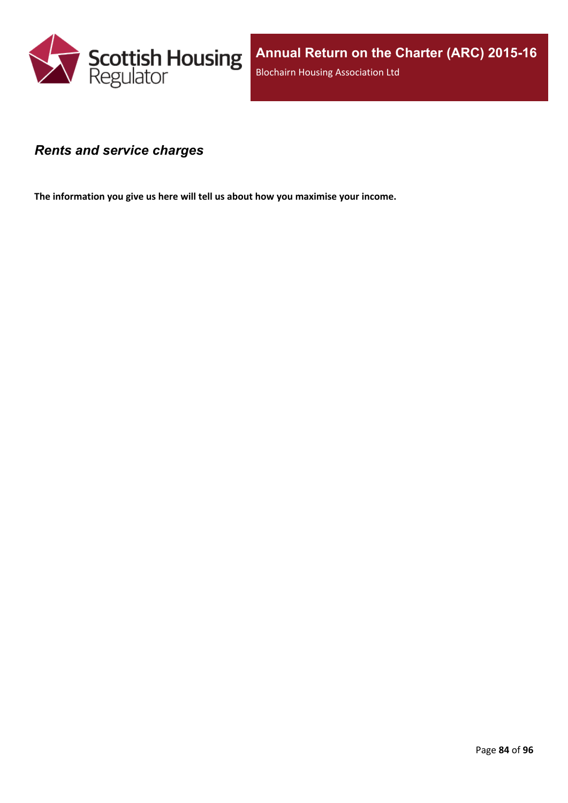

### *Rents and service charges*

**The information you give us here will tell us about how you maximise your income.**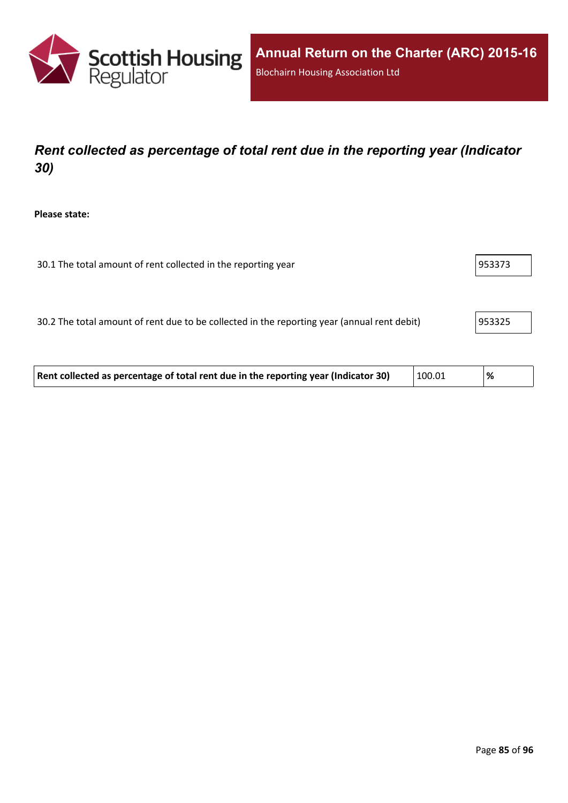

# *Rent collected as percentage of total rent due in the reporting year (Indicator 30)*

**Please state:**

| 30.1 The total amount of rent collected in the reporting year | 953373 |
|---------------------------------------------------------------|--------|
|                                                               |        |

30.2 The total amount of rent due to be collected in the reporting year (annual rent debit) 953325

| Rent collected as percentage of total rent due in the reporting year (Indicator 30) | 100.01 | % |  |
|-------------------------------------------------------------------------------------|--------|---|--|
|-------------------------------------------------------------------------------------|--------|---|--|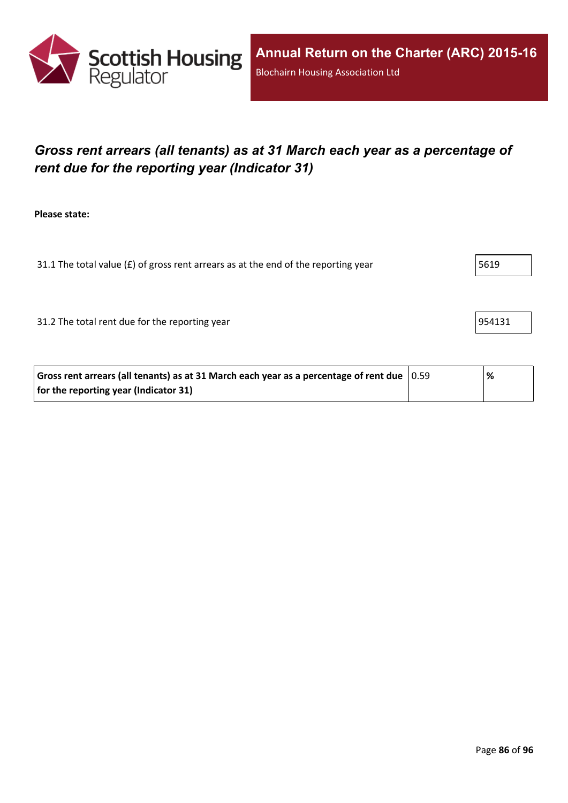

# *Gross rent arrears (all tenants) as at 31 March each year as a percentage of rent due for the reporting year (Indicator 31)*

**Please state:**

31.1 The total value ( $E$ ) of gross rent arrears as at the end of the reporting year  $5619$ 

31.2 The total rent due for the reporting year 954131

| Gross rent arrears (all tenants) as at 31 March each year as a percentage of rent due $ 0.59 $ | % |
|------------------------------------------------------------------------------------------------|---|
| for the reporting year (Indicator 31)                                                          |   |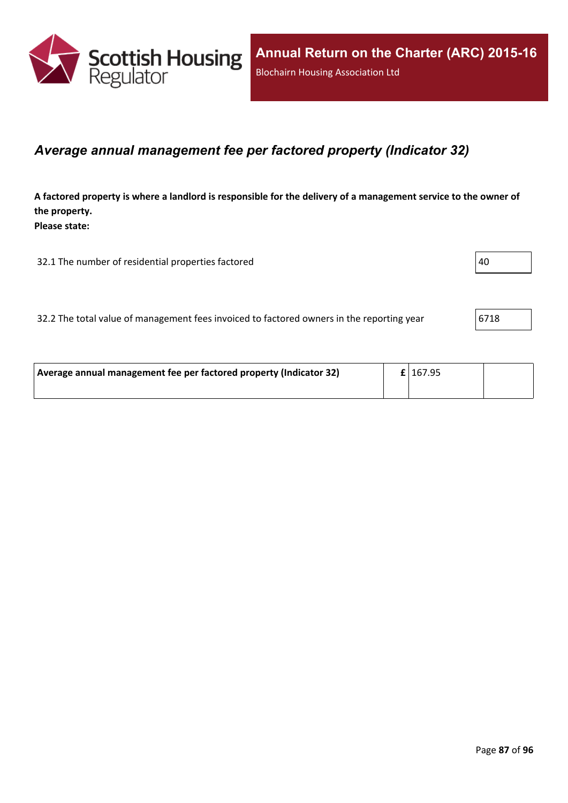

### *Average annual management fee per factored property (Indicator 32)*

A factored property is where a landlord is responsible for the delivery of a management service to the owner of **the property. Please state:**

32.1 The number of residential properties factored  $\vert$ 40

|  | 32.2 The total value of management fees invoiced to factored owners in the reporting year | 6718 |
|--|-------------------------------------------------------------------------------------------|------|
|--|-------------------------------------------------------------------------------------------|------|

| Average annual management fee per factored property (Indicator 32) |  | $\pmb{\mathsf{E}}$   167.95 |  |
|--------------------------------------------------------------------|--|-----------------------------|--|
|                                                                    |  |                             |  |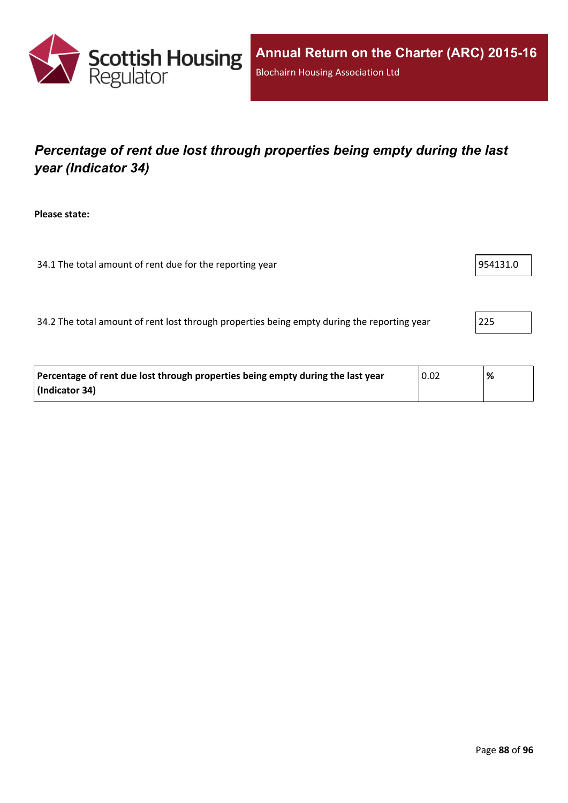

# *Percentage of rent due lost through properties being empty during the last year (Indicator 34)*

**Please state:**

34.1 The total amount of rent due for the reporting year 954131.0

34.2 The total amount of rent lost through properties being empty during the reporting year 225

| Percentage of rent due lost through properties being empty during the last year | 0.02 | % |
|---------------------------------------------------------------------------------|------|---|
| (Indicator 34)                                                                  |      |   |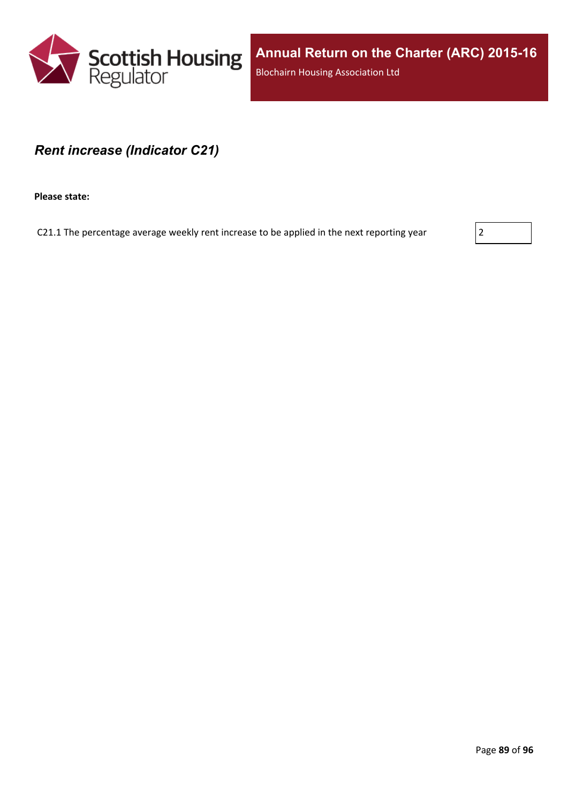

### *Rent increase (Indicator C21)*

**Please state:**

C21.1 The percentage average weekly rent increase to be applied in the next reporting year  $|2|$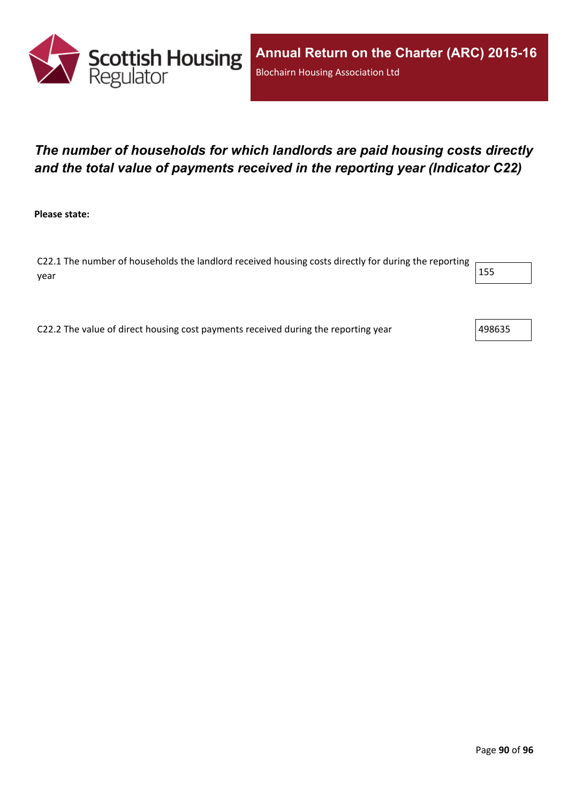

# *The number of households for which landlords are paid housing costs directly and the total value of payments received in the reporting year (Indicator C22)*

**Please state:**

C22.1 The number of households the landlord received housing costs directly for during the reporting year  $\vert$  155  $\vert$ 

C22.2 The value of direct housing cost payments received during the reporting year  $\vert$ 498635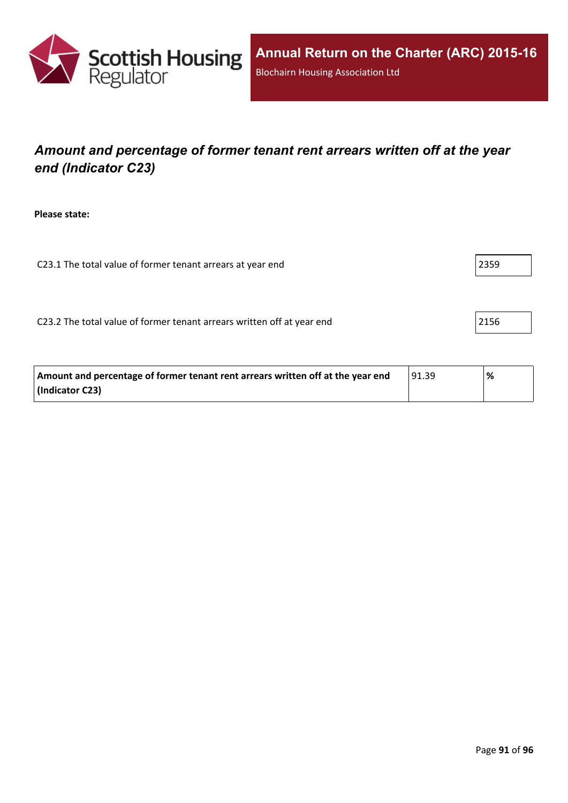

# *Amount and percentage of former tenant rent arrears written off at the year end (Indicator C23)*

**Please state:**

C23.1 The total value of former tenant arrears at year end 2359 2359

C23.2 The total value of former tenant arrears written off at year end 2156

| Amount and percentage of former tenant rent arrears written off at the year end | 91.39 | % |
|---------------------------------------------------------------------------------|-------|---|
| (Indicator C23)                                                                 |       |   |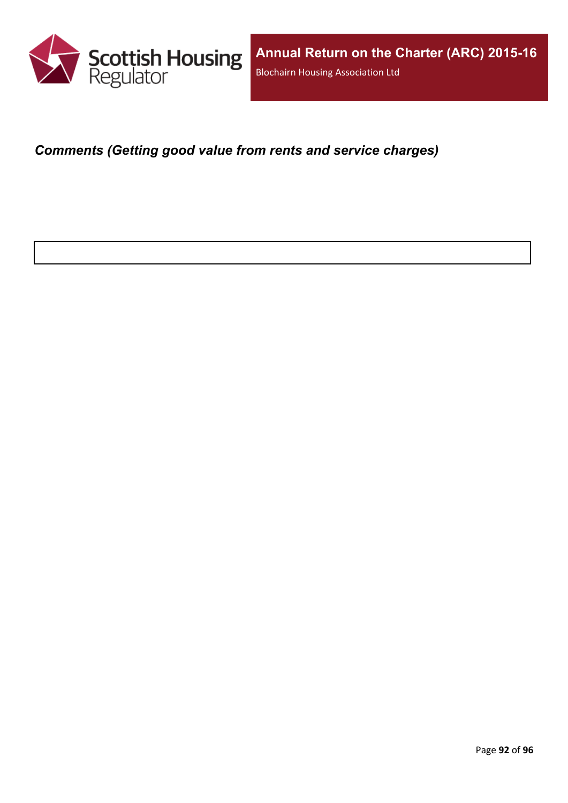

*Comments (Getting good value from rents and service charges)*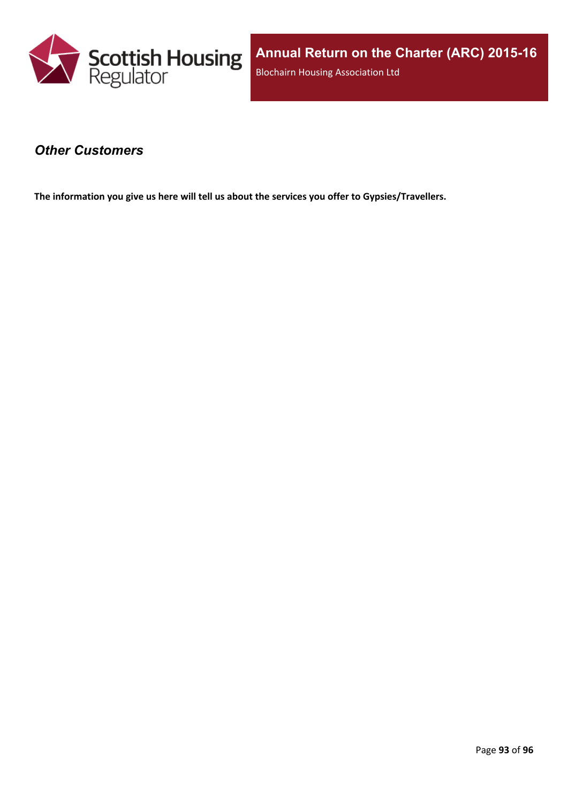

### *Other Customers*

**The information you give us here will tell us about the services you offer to Gypsies/Travellers.**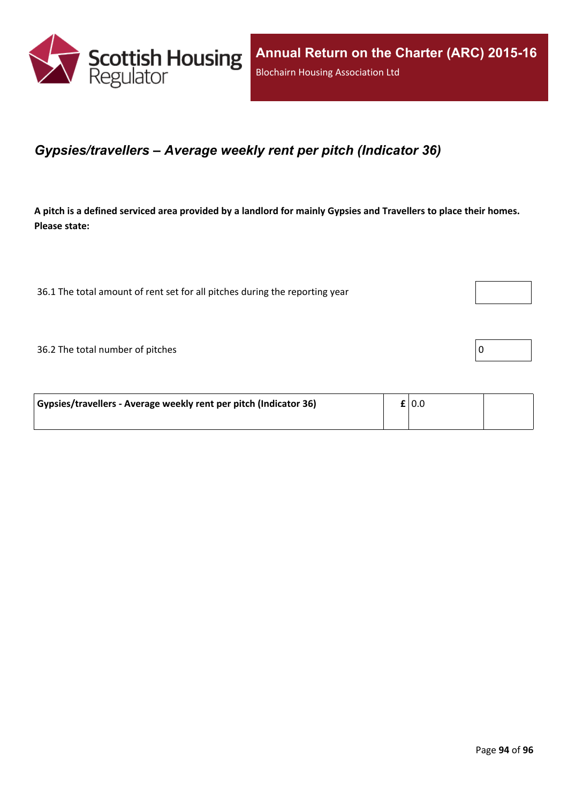

### *Gypsies/travellers – Average weekly rent per pitch (Indicator 36)*

A pitch is a defined serviced area provided by a landlord for mainly Gypsies and Travellers to place their homes. **Please state:**

36.1 The total amount of rent set for all pitches during the reporting year

 $36.2$  The total number of pitches  $\boxed{0}$ 

| Gypsies/travellers - Average weekly rent per pitch (Indicator 36) | $\mathbf{f}$   0.0 |  |
|-------------------------------------------------------------------|--------------------|--|
|                                                                   |                    |  |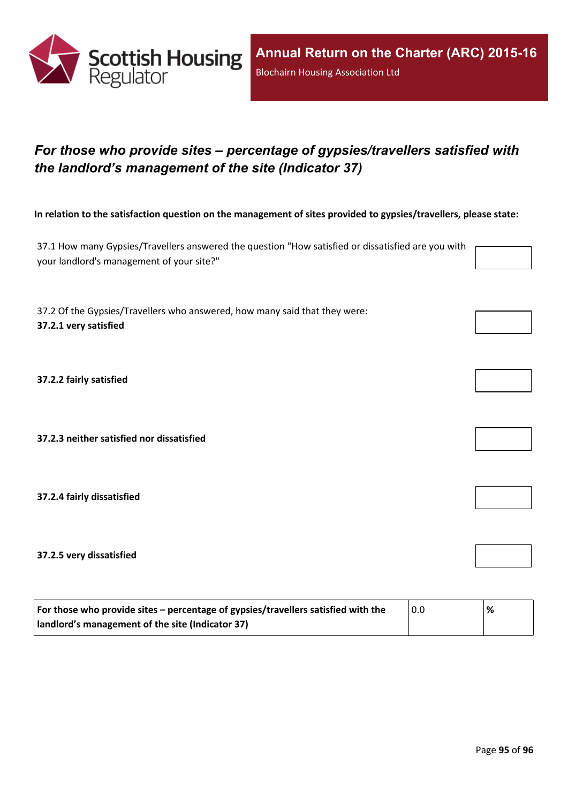

# *For those who provide sites – percentage of gypsies/travellers satisfied with the landlord's management of the site (Indicator 37)*

In relation to the satisfaction question on the management of sites provided to gypsies/travellers, please state:

37.1 How many Gypsies/Travellers answered the question "How satisfied or dissatisfied are you with your landlord's management of your site?"

37.2 Of the Gypsies/Travellers who answered, how many said that they were: **37.2.1 very satisfied**

**37.2.2 fairly satisfied**

**37.2.3 neither satisfied nor dissatisfied**

**37.2.4 fairly dissatisfied**

**37.2.5 very dissatisfied**

| For those who provide sites – percentage of gypsies/travellers satisfied with the | 0.0 | % |
|-----------------------------------------------------------------------------------|-----|---|
| I landlord's management of the site (Indicator 37)                                |     |   |